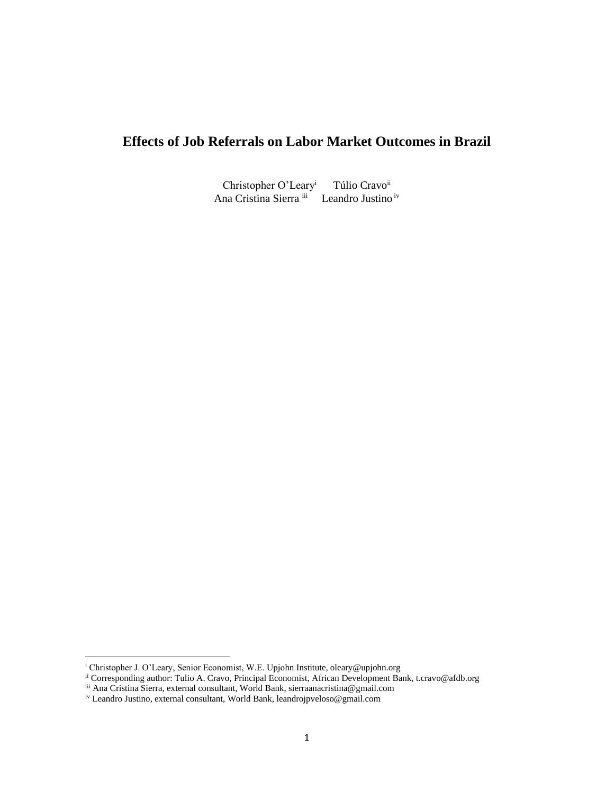# **Effects of Job Referrals on Labor Market Outcomes in Brazil**

Christopher O'Leary<sup>i</sup> Túlio Cravo<sup>ii</sup> Ana Cristina Sierra iii Leandro Justino iv

<sup>&</sup>lt;sup>i</sup> Christopher J. O'Leary, Senior Economist, W.E. Upjohn Institute, oleary@upjohn.org

ii Corresponding author: Tulio A. Cravo, Principal Economist, African Development Bank, t.cravo@afdb.org

iii Ana Cristina Sierra, external consultant, World Bank, sierraanacristina@gmail.com

iv Leandro Justino, external consultant, World Bank[, leandrojpveloso@gmail.com](mailto:leandrojpveloso@gmail.com)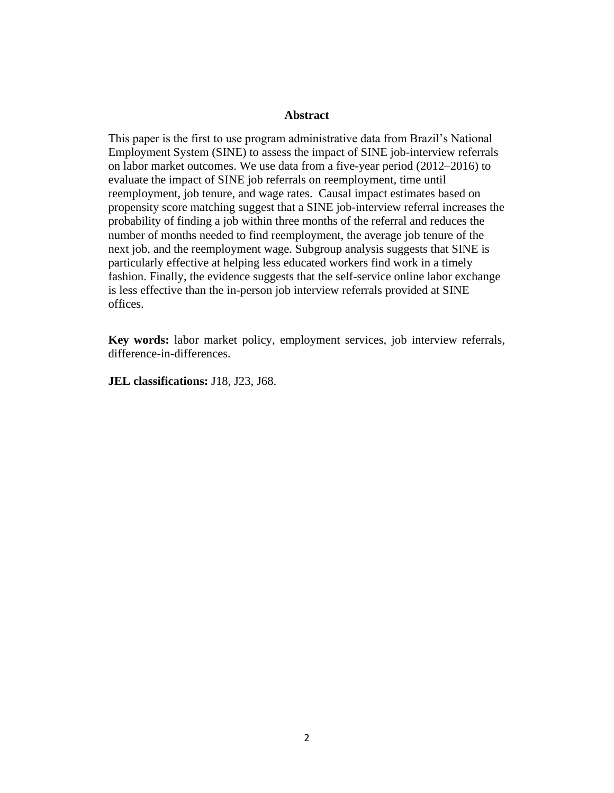### **Abstract**

This paper is the first to use program administrative data from Brazil's National Employment System (SINE) to assess the impact of SINE job-interview referrals on labor market outcomes. We use data from a five-year period  $(2012-2016)$  to evaluate the impact of SINE job referrals on reemployment, time until reemployment, job tenure, and wage rates. Causal impact estimates based on propensity score matching suggest that a SINE job-interview referral increases the probability of finding a job within three months of the referral and reduces the number of months needed to find reemployment, the average job tenure of the next job, and the reemployment wage. Subgroup analysis suggests that SINE is particularly effective at helping less educated workers find work in a timely fashion. Finally, the evidence suggests that the self-service online labor exchange is less effective than the in-person job interview referrals provided at SINE offices.

**Key words:** labor market policy, employment services, job interview referrals, difference-in-differences.

**JEL classifications:** J18, J23, J68.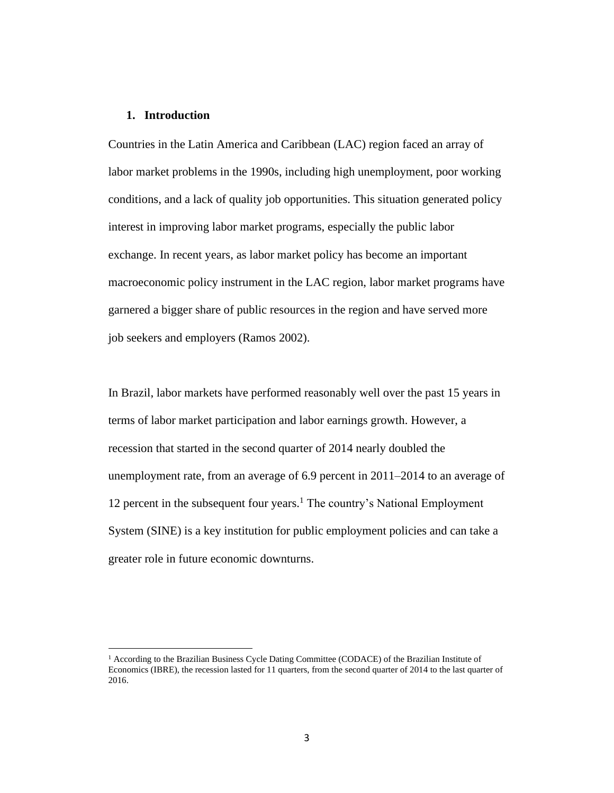### **1. Introduction**

Countries in the Latin America and Caribbean (LAC) region faced an array of labor market problems in the 1990s, including high unemployment, poor working conditions, and a lack of quality job opportunities. This situation generated policy interest in improving labor market programs, especially the public labor exchange. In recent years, as labor market policy has become an important macroeconomic policy instrument in the LAC region, labor market programs have garnered a bigger share of public resources in the region and have served more job seekers and employers (Ramos 2002).

In Brazil, labor markets have performed reasonably well over the past 15 years in terms of labor market participation and labor earnings growth. However, a recession that started in the second quarter of 2014 nearly doubled the unemployment rate, from an average of 6.9 percent in 2011–2014 to an average of 12 percent in the subsequent four years.<sup>1</sup> The country's National Employment System (SINE) is a key institution for public employment policies and can take a greater role in future economic downturns.

<sup>1</sup> According to the Brazilian Business Cycle Dating Committee (CODACE) of the Brazilian Institute of Economics (IBRE), the recession lasted for 11 quarters, from the second quarter of 2014 to the last quarter of 2016.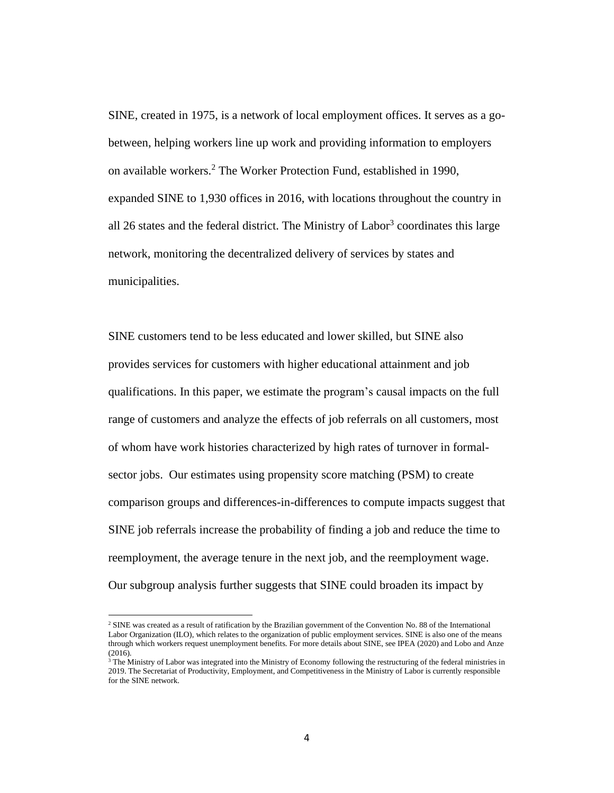SINE, created in 1975, is a network of local employment offices. It serves as a gobetween, helping workers line up work and providing information to employers on available workers. <sup>2</sup> The Worker Protection Fund, established in 1990, expanded SINE to 1,930 offices in 2016, with locations throughout the country in all 26 states and the federal district. The Ministry of Labor<sup>3</sup> coordinates this large network, monitoring the decentralized delivery of services by states and municipalities.

SINE customers tend to be less educated and lower skilled, but SINE also provides services for customers with higher educational attainment and job qualifications. In this paper, we estimate the program's causal impacts on the full range of customers and analyze the effects of job referrals on all customers, most of whom have work histories characterized by high rates of turnover in formalsector jobs. Our estimates using propensity score matching (PSM) to create comparison groups and differences-in-differences to compute impacts suggest that SINE job referrals increase the probability of finding a job and reduce the time to reemployment, the average tenure in the next job, and the reemployment wage. Our subgroup analysis further suggests that SINE could broaden its impact by

<sup>&</sup>lt;sup>2</sup> SINE was created as a result of ratification by the Brazilian government of the Convention No. 88 of the International Labor Organization (ILO), which relates to the organization of public employment services. SINE is also one of the means through which workers request unemployment benefits. For more details about SINE, see IPEA (2020) and Lobo and Anze (2016).

 $3$  The Ministry of Labor was integrated into the Ministry of Economy following the restructuring of the federal ministries in 2019. The Secretariat of Productivity, Employment, and Competitiveness in the Ministry of Labor is currently responsible for the SINE network.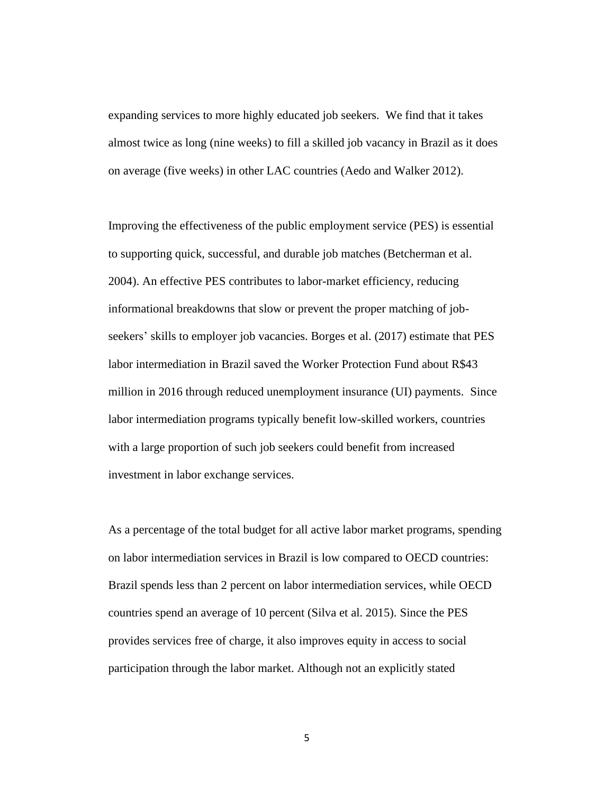expanding services to more highly educated job seekers. We find that it takes almost twice as long (nine weeks) to fill a skilled job vacancy in Brazil as it does on average (five weeks) in other LAC countries (Aedo and Walker 2012).

Improving the effectiveness of the public employment service (PES) is essential to supporting quick, successful, and durable job matches (Betcherman et al. 2004). An effective PES contributes to labor-market efficiency, reducing informational breakdowns that slow or prevent the proper matching of jobseekers' skills to employer job vacancies. Borges et al. (2017) estimate that PES labor intermediation in Brazil saved the Worker Protection Fund about R\$43 million in 2016 through reduced unemployment insurance (UI) payments. Since labor intermediation programs typically benefit low-skilled workers, countries with a large proportion of such job seekers could benefit from increased investment in labor exchange services.

As a percentage of the total budget for all active labor market programs, spending on labor intermediation services in Brazil is low compared to OECD countries: Brazil spends less than 2 percent on labor intermediation services, while OECD countries spend an average of 10 percent (Silva et al. 2015). Since the PES provides services free of charge, it also improves equity in access to social participation through the labor market. Although not an explicitly stated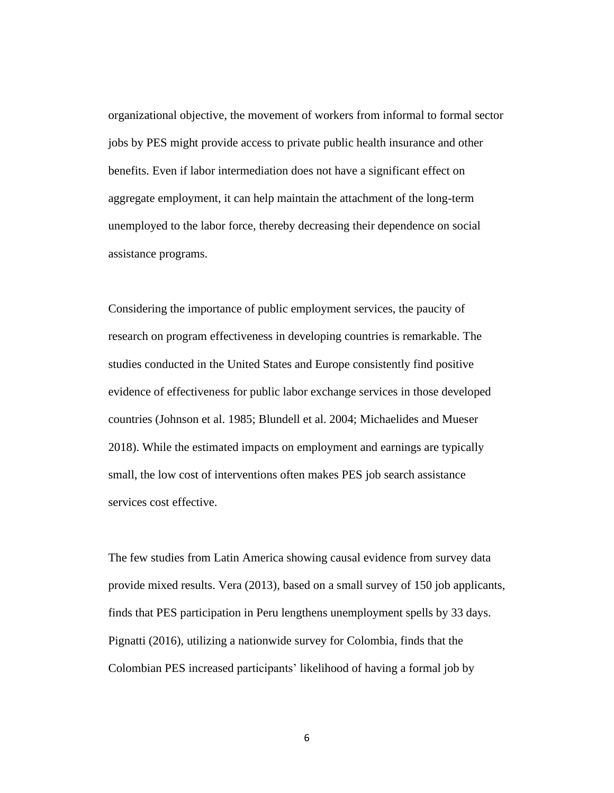organizational objective, the movement of workers from informal to formal sector jobs by PES might provide access to private public health insurance and other benefits. Even if labor intermediation does not have a significant effect on aggregate employment, it can help maintain the attachment of the long-term unemployed to the labor force, thereby decreasing their dependence on social assistance programs.

Considering the importance of public employment services, the paucity of research on program effectiveness in developing countries is remarkable. The studies conducted in the United States and Europe consistently find positive evidence of effectiveness for public labor exchange services in those developed countries (Johnson et al. 1985; Blundell et al. 2004; Michaelides and Mueser 2018). While the estimated impacts on employment and earnings are typically small, the low cost of interventions often makes PES job search assistance services cost effective.

The few studies from Latin America showing causal evidence from survey data provide mixed results. Vera (2013), based on a small survey of 150 job applicants, finds that PES participation in Peru lengthens unemployment spells by 33 days. Pignatti (2016), utilizing a nationwide survey for Colombia, finds that the Colombian PES increased participants' likelihood of having a formal job by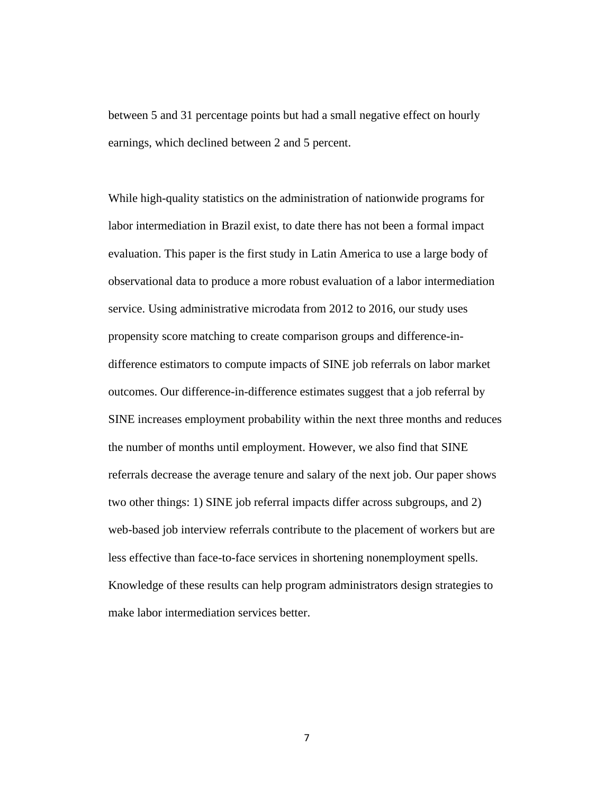between 5 and 31 percentage points but had a small negative effect on hourly earnings, which declined between 2 and 5 percent.

While high-quality statistics on the administration of nationwide programs for labor intermediation in Brazil exist, to date there has not been a formal impact evaluation. This paper is the first study in Latin America to use a large body of observational data to produce a more robust evaluation of a labor intermediation service. Using administrative microdata from 2012 to 2016, our study uses propensity score matching to create comparison groups and difference-indifference estimators to compute impacts of SINE job referrals on labor market outcomes. Our difference-in-difference estimates suggest that a job referral by SINE increases employment probability within the next three months and reduces the number of months until employment. However, we also find that SINE referrals decrease the average tenure and salary of the next job. Our paper shows two other things: 1) SINE job referral impacts differ across subgroups, and 2) web-based job interview referrals contribute to the placement of workers but are less effective than face-to-face services in shortening nonemployment spells. Knowledge of these results can help program administrators design strategies to make labor intermediation services better.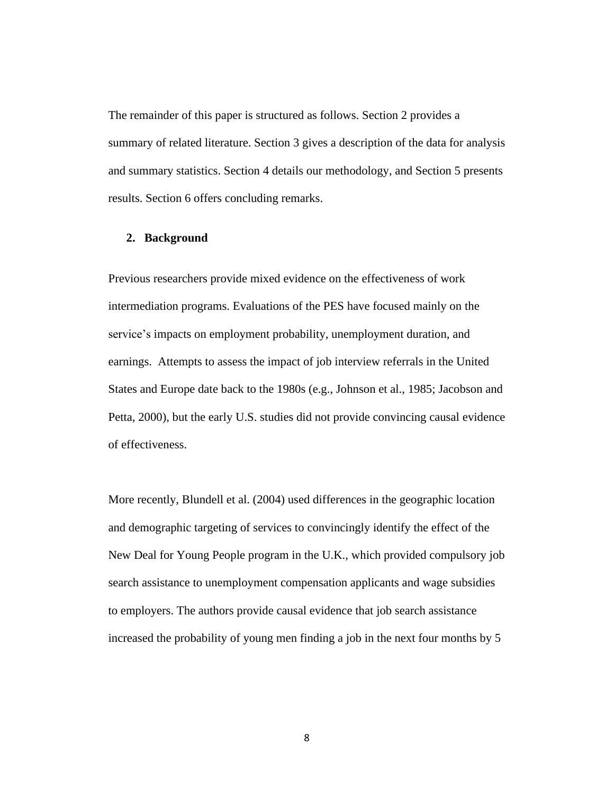The remainder of this paper is structured as follows. Section 2 provides a summary of related literature. Section 3 gives a description of the data for analysis and summary statistics. Section 4 details our methodology, and Section 5 presents results. Section 6 offers concluding remarks.

### **2. Background**

Previous researchers provide mixed evidence on the effectiveness of work intermediation programs. Evaluations of the PES have focused mainly on the service's impacts on employment probability, unemployment duration, and earnings. Attempts to assess the impact of job interview referrals in the United States and Europe date back to the 1980s (e.g., Johnson et al., 1985; Jacobson and Petta, 2000), but the early U.S. studies did not provide convincing causal evidence of effectiveness.

More recently, Blundell et al. (2004) used differences in the geographic location and demographic targeting of services to convincingly identify the effect of the New Deal for Young People program in the U.K., which provided compulsory job search assistance to unemployment compensation applicants and wage subsidies to employers. The authors provide causal evidence that job search assistance increased the probability of young men finding a job in the next four months by 5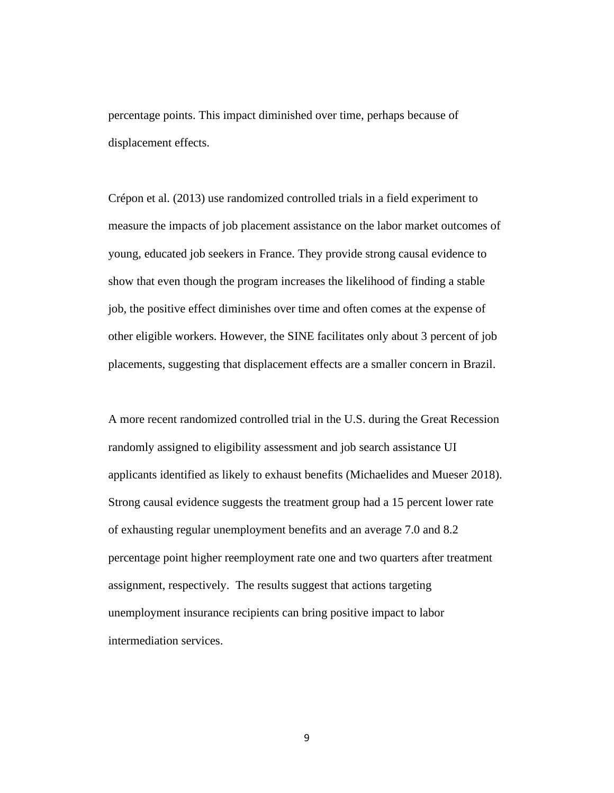percentage points. This impact diminished over time, perhaps because of displacement effects.

Crépon et al. (2013) use randomized controlled trials in a field experiment to measure the impacts of job placement assistance on the labor market outcomes of young, educated job seekers in France. They provide strong causal evidence to show that even though the program increases the likelihood of finding a stable job, the positive effect diminishes over time and often comes at the expense of other eligible workers. However, the SINE facilitates only about 3 percent of job placements, suggesting that displacement effects are a smaller concern in Brazil.

A more recent randomized controlled trial in the U.S. during the Great Recession randomly assigned to eligibility assessment and job search assistance UI applicants identified as likely to exhaust benefits (Michaelides and Mueser 2018). Strong causal evidence suggests the treatment group had a 15 percent lower rate of exhausting regular unemployment benefits and an average 7.0 and 8.2 percentage point higher reemployment rate one and two quarters after treatment assignment, respectively. The results suggest that actions targeting unemployment insurance recipients can bring positive impact to labor intermediation services.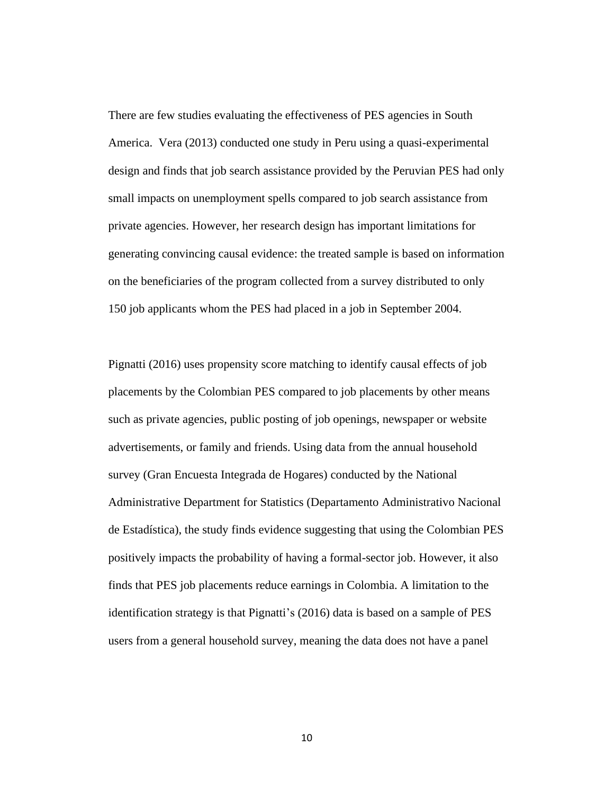There are few studies evaluating the effectiveness of PES agencies in South America. Vera (2013) conducted one study in Peru using a quasi-experimental design and finds that job search assistance provided by the Peruvian PES had only small impacts on unemployment spells compared to job search assistance from private agencies. However, her research design has important limitations for generating convincing causal evidence: the treated sample is based on information on the beneficiaries of the program collected from a survey distributed to only 150 job applicants whom the PES had placed in a job in September 2004.

Pignatti (2016) uses propensity score matching to identify causal effects of job placements by the Colombian PES compared to job placements by other means such as private agencies, public posting of job openings, newspaper or website advertisements, or family and friends. Using data from the annual household survey (Gran Encuesta Integrada de Hogares) conducted by the National Administrative Department for Statistics (Departamento Administrativo Nacional de Estadística), the study finds evidence suggesting that using the Colombian PES positively impacts the probability of having a formal-sector job. However, it also finds that PES job placements reduce earnings in Colombia. A limitation to the identification strategy is that Pignatti's (2016) data is based on a sample of PES users from a general household survey, meaning the data does not have a panel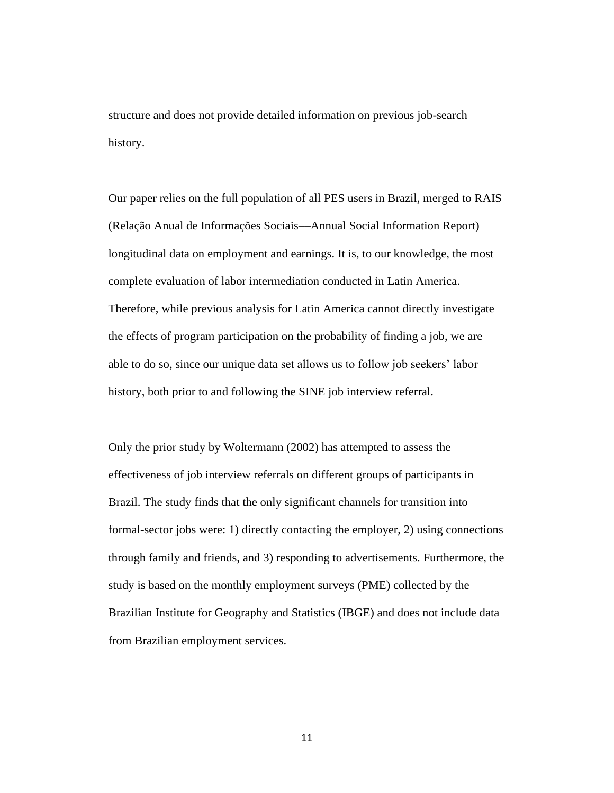structure and does not provide detailed information on previous job-search history.

Our paper relies on the full population of all PES users in Brazil, merged to RAIS (Relação Anual de Informações Sociais––Annual Social Information Report) longitudinal data on employment and earnings. It is, to our knowledge, the most complete evaluation of labor intermediation conducted in Latin America. Therefore, while previous analysis for Latin America cannot directly investigate the effects of program participation on the probability of finding a job, we are able to do so, since our unique data set allows us to follow job seekers' labor history, both prior to and following the SINE job interview referral.

Only the prior study by Woltermann (2002) has attempted to assess the effectiveness of job interview referrals on different groups of participants in Brazil. The study finds that the only significant channels for transition into formal-sector jobs were: 1) directly contacting the employer, 2) using connections through family and friends, and 3) responding to advertisements. Furthermore, the study is based on the monthly employment surveys (PME) collected by the Brazilian Institute for Geography and Statistics (IBGE) and does not include data from Brazilian employment services.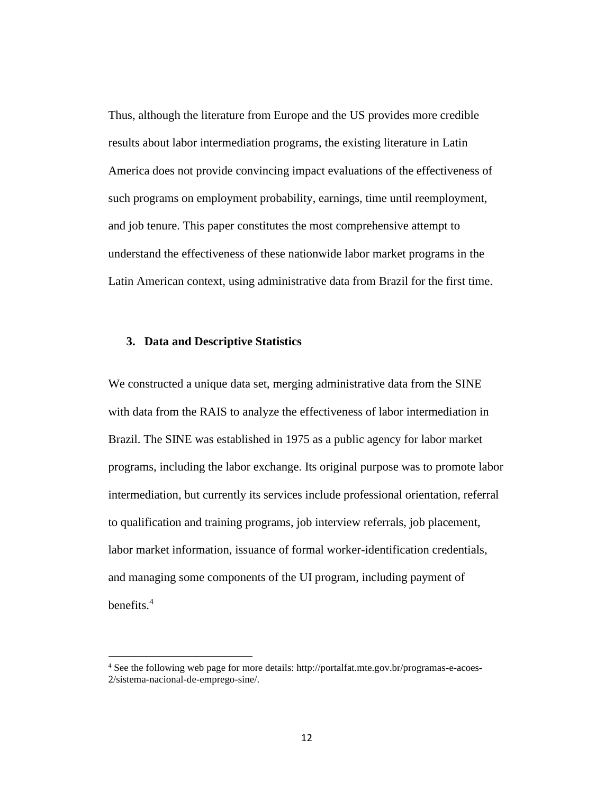Thus, although the literature from Europe and the US provides more credible results about labor intermediation programs, the existing literature in Latin America does not provide convincing impact evaluations of the effectiveness of such programs on employment probability, earnings, time until reemployment, and job tenure. This paper constitutes the most comprehensive attempt to understand the effectiveness of these nationwide labor market programs in the Latin American context, using administrative data from Brazil for the first time.

### **3. Data and Descriptive Statistics**

We constructed a unique data set, merging administrative data from the SINE with data from the RAIS to analyze the effectiveness of labor intermediation in Brazil. The SINE was established in 1975 as a public agency for labor market programs, including the labor exchange. Its original purpose was to promote labor intermediation, but currently its services include professional orientation, referral to qualification and training programs, job interview referrals, job placement, labor market information, issuance of formal worker-identification credentials, and managing some components of the UI program, including payment of benefits.<sup>4</sup>

<sup>4</sup> See the following web page for more details: http://portalfat.mte.gov.br/programas-e-acoes-2/sistema-nacional-de-emprego-sine/.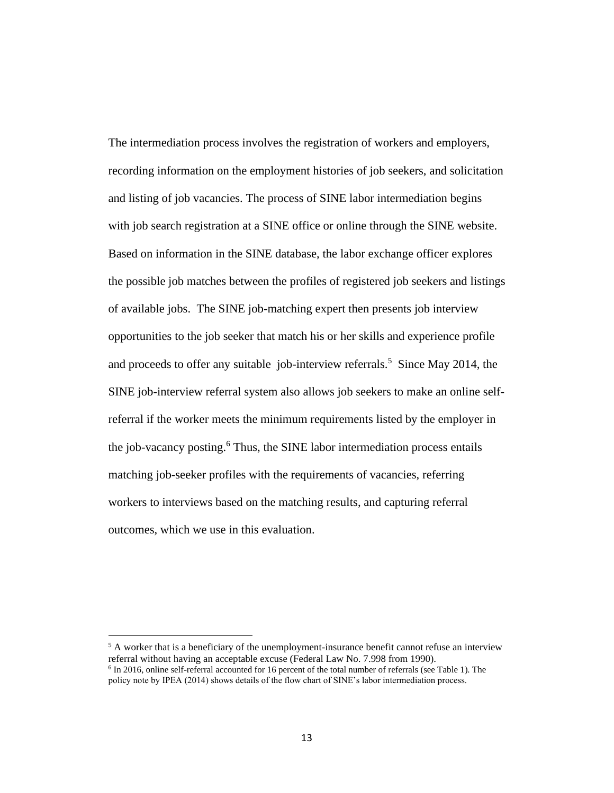The intermediation process involves the registration of workers and employers, recording information on the employment histories of job seekers, and solicitation and listing of job vacancies. The process of SINE labor intermediation begins with job search registration at a SINE office or online through the SINE website. Based on information in the SINE database, the labor exchange officer explores the possible job matches between the profiles of registered job seekers and listings of available jobs. The SINE job-matching expert then presents job interview opportunities to the job seeker that match his or her skills and experience profile and proceeds to offer any suitable job-interview referrals. <sup>5</sup> Since May 2014, the SINE job-interview referral system also allows job seekers to make an online selfreferral if the worker meets the minimum requirements listed by the employer in the job-vacancy posting. <sup>6</sup> Thus, the SINE labor intermediation process entails matching job-seeker profiles with the requirements of vacancies, referring workers to interviews based on the matching results, and capturing referral outcomes, which we use in this evaluation.

 $<sup>5</sup>$  A worker that is a beneficiary of the unemployment-insurance benefit cannot refuse an interview</sup> referral without having an acceptable excuse (Federal Law No. 7.998 from 1990). <sup>6</sup> In 2016, online self-referral accounted for 16 percent of the total number of referrals (see Table 1). The policy note by IPEA (2014) shows details of the flow chart of SINE's labor intermediation process.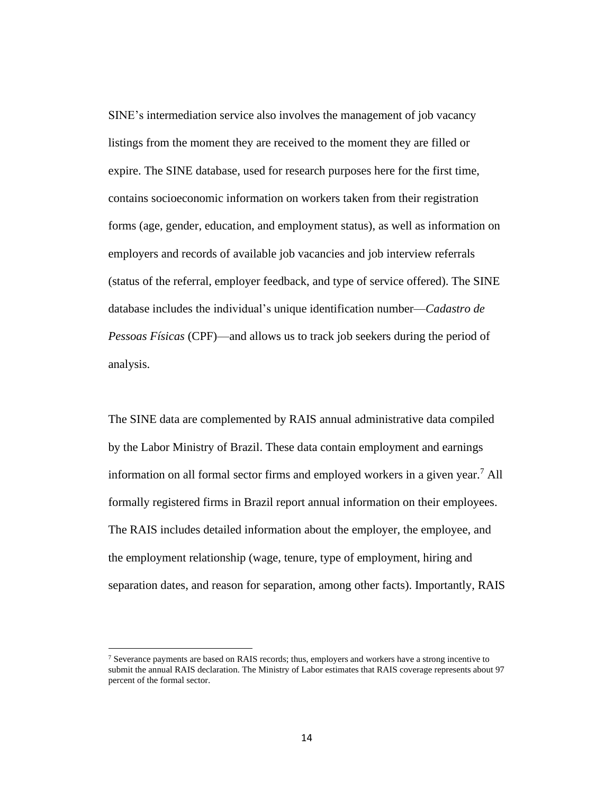SINE's intermediation service also involves the management of job vacancy listings from the moment they are received to the moment they are filled or expire. The SINE database, used for research purposes here for the first time, contains socioeconomic information on workers taken from their registration forms (age, gender, education, and employment status), as well as information on employers and records of available job vacancies and job interview referrals (status of the referral, employer feedback, and type of service offered). The SINE database includes the individual's unique identification number—*Cadastro de Pessoas Físicas* (CPF)—and allows us to track job seekers during the period of analysis.

The SINE data are complemented by RAIS annual administrative data compiled by the Labor Ministry of Brazil. These data contain employment and earnings information on all formal sector firms and employed workers in a given year.<sup>7</sup> All formally registered firms in Brazil report annual information on their employees. The RAIS includes detailed information about the employer, the employee, and the employment relationship (wage, tenure, type of employment, hiring and separation dates, and reason for separation, among other facts). Importantly, RAIS

<sup>&</sup>lt;sup>7</sup> Severance payments are based on RAIS records; thus, employers and workers have a strong incentive to submit the annual RAIS declaration. The Ministry of Labor estimates that RAIS coverage represents about 97 percent of the formal sector.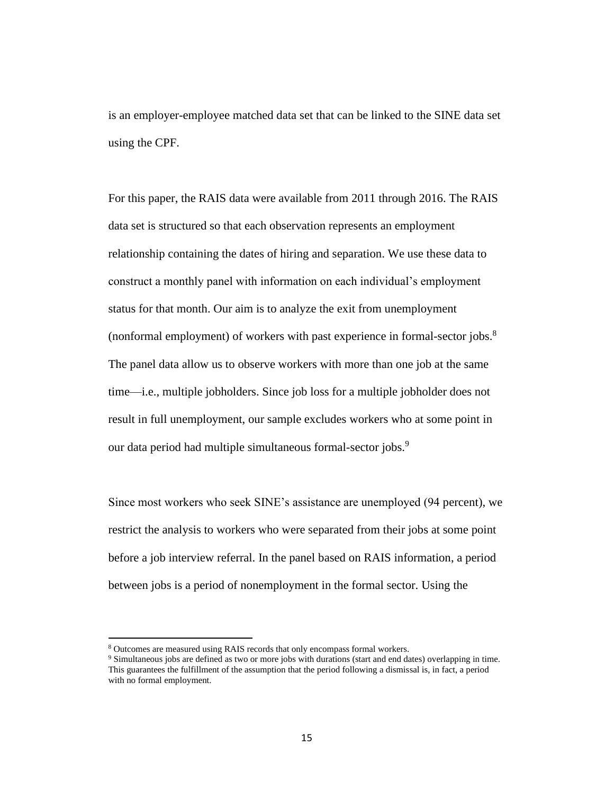is an employer-employee matched data set that can be linked to the SINE data set using the CPF.

For this paper, the RAIS data were available from 2011 through 2016. The RAIS data set is structured so that each observation represents an employment relationship containing the dates of hiring and separation. We use these data to construct a monthly panel with information on each individual's employment status for that month. Our aim is to analyze the exit from unemployment (nonformal employment) of workers with past experience in formal-sector jobs.<sup>8</sup> The panel data allow us to observe workers with more than one job at the same time—i.e., multiple jobholders. Since job loss for a multiple jobholder does not result in full unemployment, our sample excludes workers who at some point in our data period had multiple simultaneous formal-sector jobs.<sup>9</sup>

Since most workers who seek SINE's assistance are unemployed (94 percent), we restrict the analysis to workers who were separated from their jobs at some point before a job interview referral. In the panel based on RAIS information, a period between jobs is a period of nonemployment in the formal sector. Using the

<sup>8</sup> Outcomes are measured using RAIS records that only encompass formal workers.

<sup>9</sup> Simultaneous jobs are defined as two or more jobs with durations (start and end dates) overlapping in time. This guarantees the fulfillment of the assumption that the period following a dismissal is, in fact, a period with no formal employment.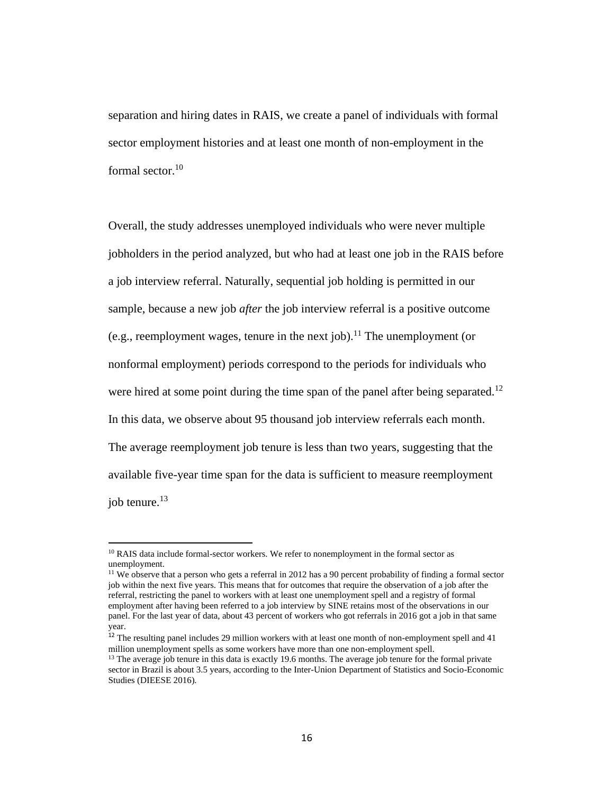separation and hiring dates in RAIS, we create a panel of individuals with formal sector employment histories and at least one month of non-employment in the formal sector.<sup>10</sup>

Overall, the study addresses unemployed individuals who were never multiple jobholders in the period analyzed, but who had at least one job in the RAIS before a job interview referral. Naturally, sequential job holding is permitted in our sample, because a new job *after* the job interview referral is a positive outcome (e.g., reemployment wages, tenure in the next job).<sup>11</sup> The unemployment (or nonformal employment) periods correspond to the periods for individuals who were hired at some point during the time span of the panel after being separated.<sup>12</sup> In this data, we observe about 95 thousand job interview referrals each month. The average reemployment job tenure is less than two years, suggesting that the available five-year time span for the data is sufficient to measure reemployment job tenure.<sup>13</sup>

<sup>&</sup>lt;sup>10</sup> RAIS data include formal-sector workers. We refer to nonemployment in the formal sector as unemployment.

<sup>&</sup>lt;sup>11</sup> We observe that a person who gets a referral in 2012 has a 90 percent probability of finding a formal sector job within the next five years. This means that for outcomes that require the observation of a job after the referral, restricting the panel to workers with at least one unemployment spell and a registry of formal employment after having been referred to a job interview by SINE retains most of the observations in our panel. For the last year of data, about 43 percent of workers who got referrals in 2016 got a job in that same year.

<sup>12</sup> The resulting panel includes 29 million workers with at least one month of non-employment spell and 41 million unemployment spells as some workers have more than one non-employment spell.

<sup>&</sup>lt;sup>13</sup> The average job tenure in this data is exactly 19.6 months. The average job tenure for the formal private sector in Brazil is about 3.5 years, according to the Inter-Union Department of Statistics and Socio-Economic Studies (DIEESE 2016).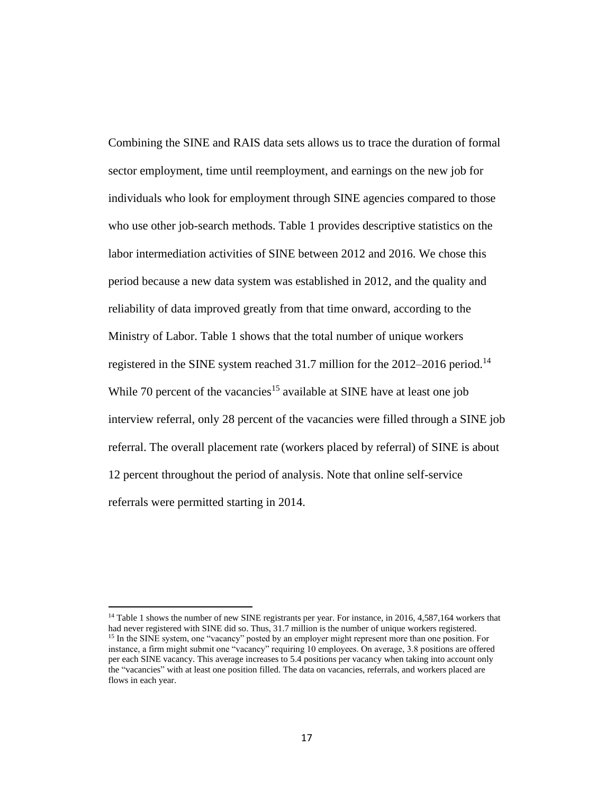Combining the SINE and RAIS data sets allows us to trace the duration of formal sector employment, time until reemployment, and earnings on the new job for individuals who look for employment through SINE agencies compared to those who use other job-search methods. Table 1 provides descriptive statistics on the labor intermediation activities of SINE between 2012 and 2016. We chose this period because a new data system was established in 2012, and the quality and reliability of data improved greatly from that time onward, according to the Ministry of Labor. Table 1 shows that the total number of unique workers registered in the SINE system reached 31.7 million for the 2012–2016 period.<sup>14</sup> While 70 percent of the vacancies<sup>15</sup> available at SINE have at least one job interview referral, only 28 percent of the vacancies were filled through a SINE job referral. The overall placement rate (workers placed by referral) of SINE is about 12 percent throughout the period of analysis. Note that online self-service referrals were permitted starting in 2014.

<sup>&</sup>lt;sup>14</sup> Table 1 shows the number of new SINE registrants per year. For instance, in 2016, 4,587,164 workers that had never registered with SINE did so. Thus, 31.7 million is the number of unique workers registered. <sup>15</sup> In the SINE system, one "vacancy" posted by an employer might represent more than one position. For instance, a firm might submit one "vacancy" requiring 10 employees. On average, 3.8 positions are offered per each SINE vacancy. This average increases to 5.4 positions per vacancy when taking into account only the "vacancies" with at least one position filled. The data on vacancies, referrals, and workers placed are flows in each year.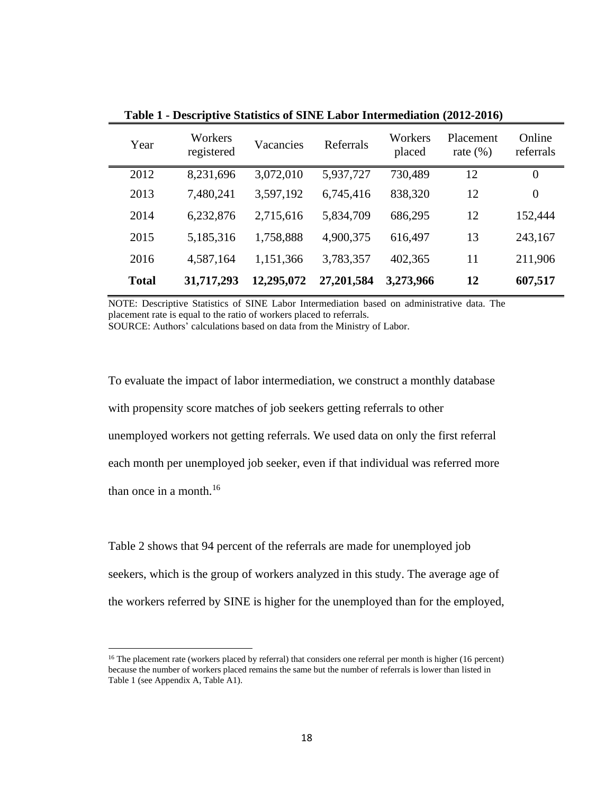| Year         | Workers<br>registered | Vacancies  | Referrals  | Workers<br>placed | Placement<br>rate $(\% )$ | Online<br>referrals |
|--------------|-----------------------|------------|------------|-------------------|---------------------------|---------------------|
| 2012         | 8,231,696             | 3,072,010  | 5,937,727  | 730,489           | 12                        | $\theta$            |
| 2013         | 7,480,241             | 3,597,192  | 6,745,416  | 838,320           | 12                        | $\overline{0}$      |
| 2014         | 6,232,876             | 2,715,616  | 5,834,709  | 686,295           | 12                        | 152,444             |
| 2015         | 5,185,316             | 1,758,888  | 4,900,375  | 616,497           | 13                        | 243,167             |
| 2016         | 4,587,164             | 1,151,366  | 3,783,357  | 402,365           | 11                        | 211,906             |
| <b>Total</b> | 31,717,293            | 12,295,072 | 27,201,584 | 3,273,966         | 12                        | 607,517             |

**Table 1 - Descriptive Statistics of SINE Labor Intermediation (2012-2016)**

NOTE: Descriptive Statistics of SINE Labor Intermediation based on administrative data. The placement rate is equal to the ratio of workers placed to referrals. SOURCE: Authors' calculations based on data from the Ministry of Labor.

To evaluate the impact of labor intermediation, we construct a monthly database with propensity score matches of job seekers getting referrals to other unemployed workers not getting referrals. We used data on only the first referral each month per unemployed job seeker, even if that individual was referred more than once in a month. $16$ 

Table 2 shows that 94 percent of the referrals are made for unemployed job seekers, which is the group of workers analyzed in this study. The average age of the workers referred by SINE is higher for the unemployed than for the employed,

<sup>&</sup>lt;sup>16</sup> The placement rate (workers placed by referral) that considers one referral per month is higher (16 percent) because the number of workers placed remains the same but the number of referrals is lower than listed in Table 1 (see Appendix A, Table A1).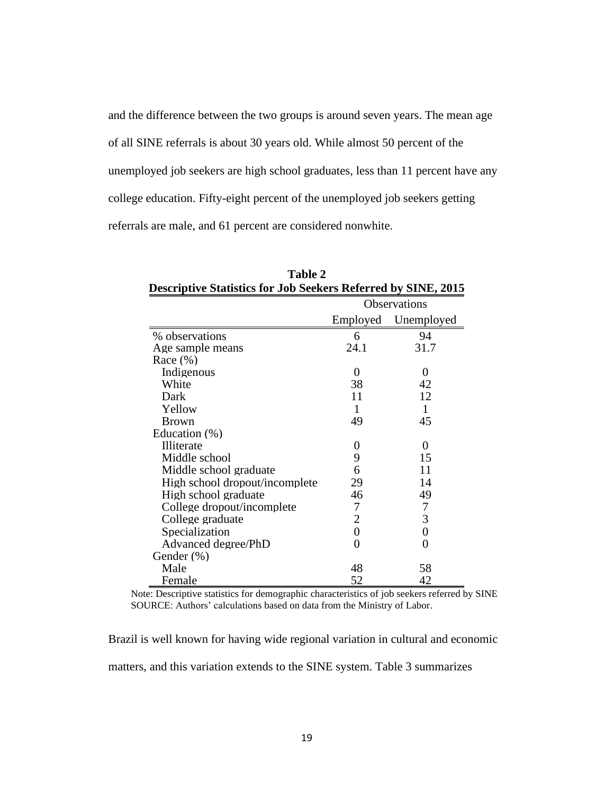and the difference between the two groups is around seven years. The mean age of all SINE referrals is about 30 years old. While almost 50 percent of the unemployed job seekers are high school graduates, less than 11 percent have any college education. Fifty-eight percent of the unemployed job seekers getting referrals are male, and 61 percent are considered nonwhite.

| Table 2                                                              |                |                     |  |  |  |
|----------------------------------------------------------------------|----------------|---------------------|--|--|--|
| <b>Descriptive Statistics for Job Seekers Referred by SINE, 2015</b> |                |                     |  |  |  |
|                                                                      |                | <b>Observations</b> |  |  |  |
|                                                                      |                | Employed Unemployed |  |  |  |
| % observations                                                       | 6              | 94                  |  |  |  |
| Age sample means                                                     | 24.1           | 31.7                |  |  |  |
| Race $(\% )$                                                         |                |                     |  |  |  |
| Indigenous                                                           | $\Omega$       | 0                   |  |  |  |
| White                                                                | 38             | 42                  |  |  |  |
| Dark                                                                 | 11             | 12                  |  |  |  |
| Yellow                                                               | 1              | 1                   |  |  |  |
| <b>Brown</b>                                                         | 49             | 45                  |  |  |  |
| Education (%)                                                        |                |                     |  |  |  |
| Illiterate                                                           | 0              | 0                   |  |  |  |
| Middle school                                                        | 9              | 15                  |  |  |  |
| Middle school graduate                                               | 6              | 11                  |  |  |  |
| High school dropout/incomplete                                       | 29             | 14                  |  |  |  |
| High school graduate                                                 | 46             | 49                  |  |  |  |
| College dropout/incomplete                                           | 7              | $\overline{7}$      |  |  |  |
| College graduate                                                     | $\overline{2}$ | 3                   |  |  |  |
| Specialization                                                       | $\overline{0}$ | $\overline{0}$      |  |  |  |
| Advanced degree/PhD                                                  | 0              | 0                   |  |  |  |
| Gender (%)                                                           |                |                     |  |  |  |
| Male                                                                 | 48             | 58                  |  |  |  |
| Female                                                               | 52             | 42                  |  |  |  |

Note: Descriptive statistics for demographic characteristics of job seekers referred by SINE SOURCE: Authors' calculations based on data from the Ministry of Labor.

Brazil is well known for having wide regional variation in cultural and economic matters, and this variation extends to the SINE system. Table 3 summarizes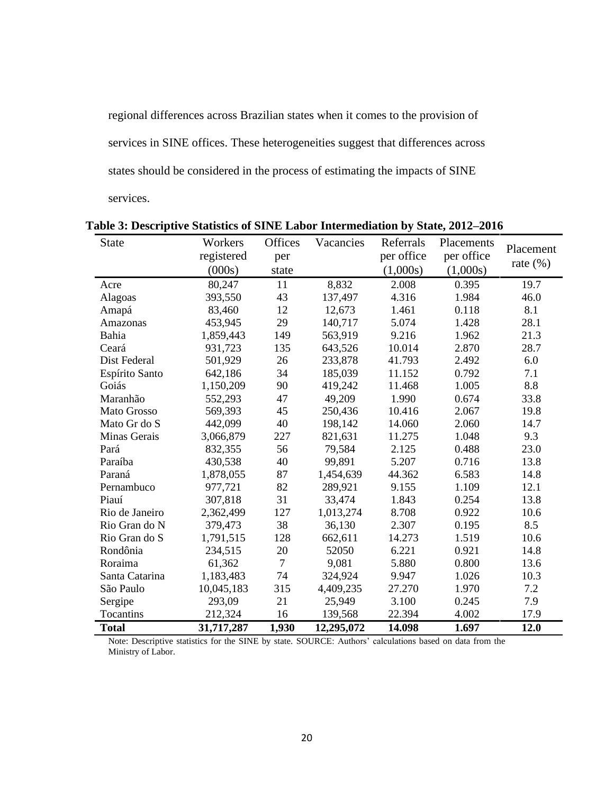regional differences across Brazilian states when it comes to the provision of services in SINE offices. These heterogeneities suggest that differences across states should be considered in the process of estimating the impacts of SINE services.

| <b>State</b>   | Workers    | Offices | Vacancies  | Referrals  | Placements |             |
|----------------|------------|---------|------------|------------|------------|-------------|
|                | registered | per     |            | per office | per office | Placement   |
|                | (000s)     | state   |            | (1,000s)   | (1,000s)   | rate $(\%)$ |
| Acre           | 80,247     | 11      | 8,832      | 2.008      | 0.395      | 19.7        |
| Alagoas        | 393,550    | 43      | 137,497    | 4.316      | 1.984      | 46.0        |
| Amapá          | 83,460     | 12      | 12,673     | 1.461      | 0.118      | 8.1         |
| Amazonas       | 453,945    | 29      | 140,717    | 5.074      | 1.428      | 28.1        |
| Bahia          | 1,859,443  | 149     | 563,919    | 9.216      | 1.962      | 21.3        |
| Ceará          | 931,723    | 135     | 643,526    | 10.014     | 2.870      | 28.7        |
| Dist Federal   | 501,929    | 26      | 233,878    | 41.793     | 2.492      | 6.0         |
| Espírito Santo | 642,186    | 34      | 185,039    | 11.152     | 0.792      | 7.1         |
| Goiás          | 1,150,209  | 90      | 419,242    | 11.468     | 1.005      | 8.8         |
| Maranhão       | 552,293    | 47      | 49,209     | 1.990      | 0.674      | 33.8        |
| Mato Grosso    | 569,393    | 45      | 250,436    | 10.416     | 2.067      | 19.8        |
| Mato Gr do S   | 442,099    | 40      | 198,142    | 14.060     | 2.060      | 14.7        |
| Minas Gerais   | 3,066,879  | 227     | 821,631    | 11.275     | 1.048      | 9.3         |
| Pará           | 832,355    | 56      | 79,584     | 2.125      | 0.488      | 23.0        |
| Paraíba        | 430,538    | 40      | 99,891     | 5.207      | 0.716      | 13.8        |
| Paraná         | 1,878,055  | 87      | 1,454,639  | 44.362     | 6.583      | 14.8        |
| Pernambuco     | 977,721    | 82      | 289,921    | 9.155      | 1.109      | 12.1        |
| Piauí          | 307,818    | 31      | 33,474     | 1.843      | 0.254      | 13.8        |
| Rio de Janeiro | 2,362,499  | 127     | 1,013,274  | 8.708      | 0.922      | 10.6        |
| Rio Gran do N  | 379,473    | 38      | 36,130     | 2.307      | 0.195      | 8.5         |
| Rio Gran do S  | 1,791,515  | 128     | 662,611    | 14.273     | 1.519      | 10.6        |
| Rondônia       | 234,515    | 20      | 52050      | 6.221      | 0.921      | 14.8        |
| Roraima        | 61,362     | $\tau$  | 9,081      | 5.880      | 0.800      | 13.6        |
| Santa Catarina | 1,183,483  | 74      | 324,924    | 9.947      | 1.026      | 10.3        |
| São Paulo      | 10,045,183 | 315     | 4,409,235  | 27.270     | 1.970      | 7.2         |
| Sergipe        | 293,09     | 21      | 25,949     | 3.100      | 0.245      | 7.9         |
| Tocantins      | 212,324    | 16      | 139,568    | 22.394     | 4.002      | 17.9        |
| <b>Total</b>   | 31,717,287 | 1,930   | 12,295,072 | 14.098     | 1.697      | 12.0        |

**Table 3: Descriptive Statistics of SINE Labor Intermediation by State, 2012‒2016**

Note: Descriptive statistics for the SINE by state. SOURCE: Authors' calculations based on data from the Ministry of Labor.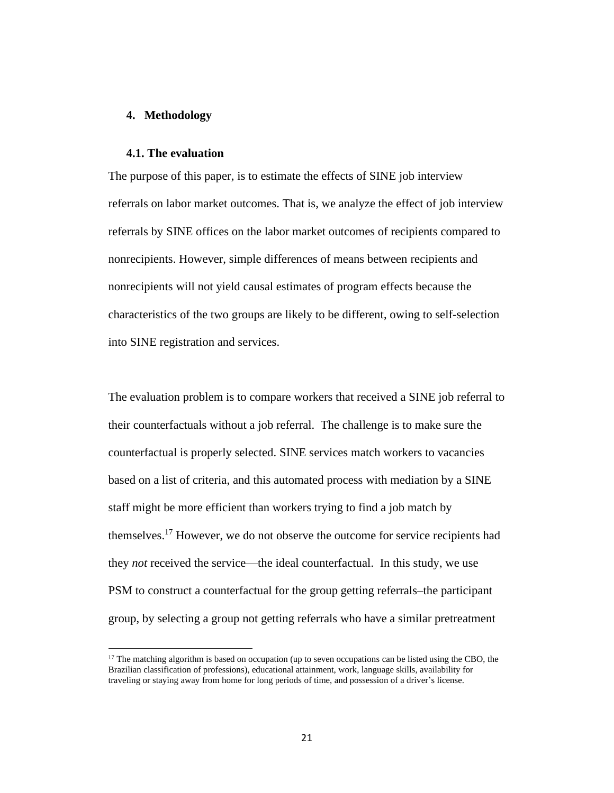#### **4. Methodology**

#### **4.1. The evaluation**

The purpose of this paper, is to estimate the effects of SINE job interview referrals on labor market outcomes. That is, we analyze the effect of job interview referrals by SINE offices on the labor market outcomes of recipients compared to nonrecipients. However, simple differences of means between recipients and nonrecipients will not yield causal estimates of program effects because the characteristics of the two groups are likely to be different, owing to self-selection into SINE registration and services.

The evaluation problem is to compare workers that received a SINE job referral to their counterfactuals without a job referral. The challenge is to make sure the counterfactual is properly selected. SINE services match workers to vacancies based on a list of criteria, and this automated process with mediation by a SINE staff might be more efficient than workers trying to find a job match by themselves.<sup>17</sup> However, we do not observe the outcome for service recipients had they *not* received the service—the ideal counterfactual. In this study, we use PSM to construct a counterfactual for the group getting referrals–the participant group, by selecting a group not getting referrals who have a similar pretreatment

<sup>&</sup>lt;sup>17</sup> The matching algorithm is based on occupation (up to seven occupations can be listed using the CBO, the Brazilian classification of professions), educational attainment, work, language skills, availability for traveling or staying away from home for long periods of time, and possession of a driver's license.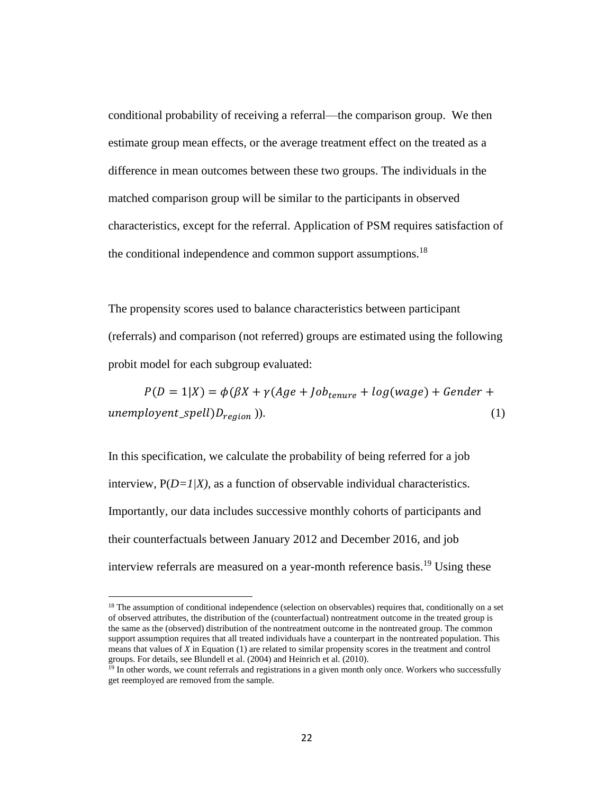conditional probability of receiving a referral—the comparison group. We then estimate group mean effects, or the average treatment effect on the treated as a difference in mean outcomes between these two groups. The individuals in the matched comparison group will be similar to the participants in observed characteristics, except for the referral. Application of PSM requires satisfaction of the conditional independence and common support assumptions.<sup>18</sup>

The propensity scores used to balance characteristics between participant (referrals) and comparison (not referred) groups are estimated using the following probit model for each subgroup evaluated:

 $P(D = 1|X) = \phi(\beta X + \gamma(Age + Job_{trunc} + log(wage) + Gender +$  $unemptyent\_spell)D_{region}$ )). (1)

In this specification, we calculate the probability of being referred for a job interview, P(*D=1|X)*, as a function of observable individual characteristics. Importantly, our data includes successive monthly cohorts of participants and their counterfactuals between January 2012 and December 2016, and job interview referrals are measured on a year-month reference basis.<sup>19</sup> Using these

<sup>&</sup>lt;sup>18</sup> The assumption of conditional independence (selection on observables) requires that, conditionally on a set of observed attributes, the distribution of the (counterfactual) nontreatment outcome in the treated group is the same as the (observed) distribution of the nontreatment outcome in the nontreated group. The common support assumption requires that all treated individuals have a counterpart in the nontreated population. This means that values of *X* in Equation (1) are related to similar propensity scores in the treatment and control groups. For details, see Blundell et al. (2004) and Heinrich et al. (2010).

<sup>&</sup>lt;sup>19</sup> In other words, we count referrals and registrations in a given month only once. Workers who successfully get reemployed are removed from the sample.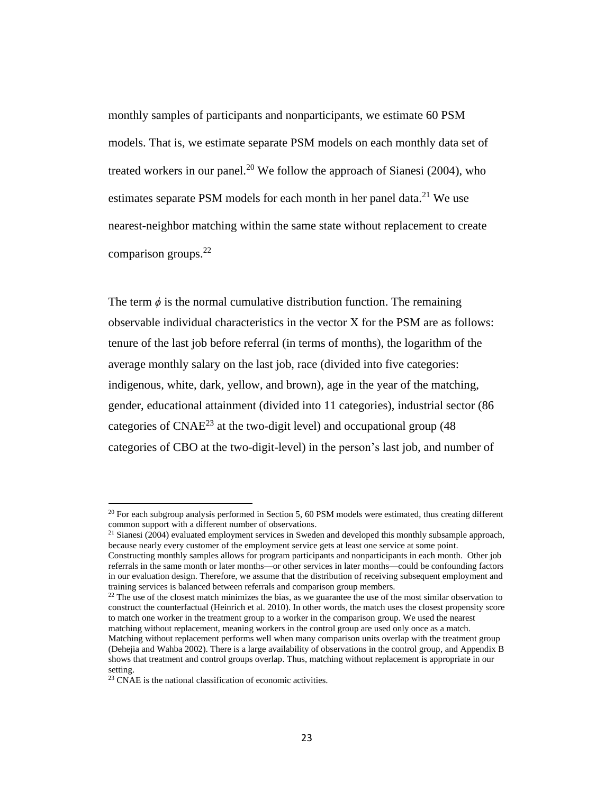monthly samples of participants and nonparticipants, we estimate 60 PSM models. That is, we estimate separate PSM models on each monthly data set of treated workers in our panel.<sup>20</sup> We follow the approach of Sianesi (2004), who estimates separate PSM models for each month in her panel data.<sup>21</sup> We use nearest-neighbor matching within the same state without replacement to create comparison groups.<sup>22</sup>

The term  $\phi$  is the normal cumulative distribution function. The remaining observable individual characteristics in the vector X for the PSM are as follows: tenure of the last job before referral (in terms of months), the logarithm of the average monthly salary on the last job, race (divided into five categories: indigenous, white, dark, yellow, and brown), age in the year of the matching, gender, educational attainment (divided into 11 categories), industrial sector (86 categories of  $CNAE^{23}$  at the two-digit level) and occupational group (48) categories of CBO at the two-digit-level) in the person's last job, and number of

 $20$  For each subgroup analysis performed in Section 5, 60 PSM models were estimated, thus creating different common support with a different number of observations.

 $21$  Sianesi (2004) evaluated employment services in Sweden and developed this monthly subsample approach, because nearly every customer of the employment service gets at least one service at some point.

Constructing monthly samples allows for program participants and nonparticipants in each month. Other job referrals in the same month or later months—or other services in later months—could be confounding factors in our evaluation design. Therefore, we assume that the distribution of receiving subsequent employment and training services is balanced between referrals and comparison group members.

 $22$  The use of the closest match minimizes the bias, as we guarantee the use of the most similar observation to construct the counterfactual (Heinrich et al. 2010). In other words, the match uses the closest propensity score to match one worker in the treatment group to a worker in the comparison group. We used the nearest matching without replacement, meaning workers in the control group are used only once as a match.

Matching without replacement performs well when many comparison units overlap with the treatment group (Dehejia and Wahba 2002). There is a large availability of observations in the control group, and Appendix B shows that treatment and control groups overlap. Thus, matching without replacement is appropriate in our setting.

<sup>&</sup>lt;sup>23</sup> CNAE is the national classification of economic activities.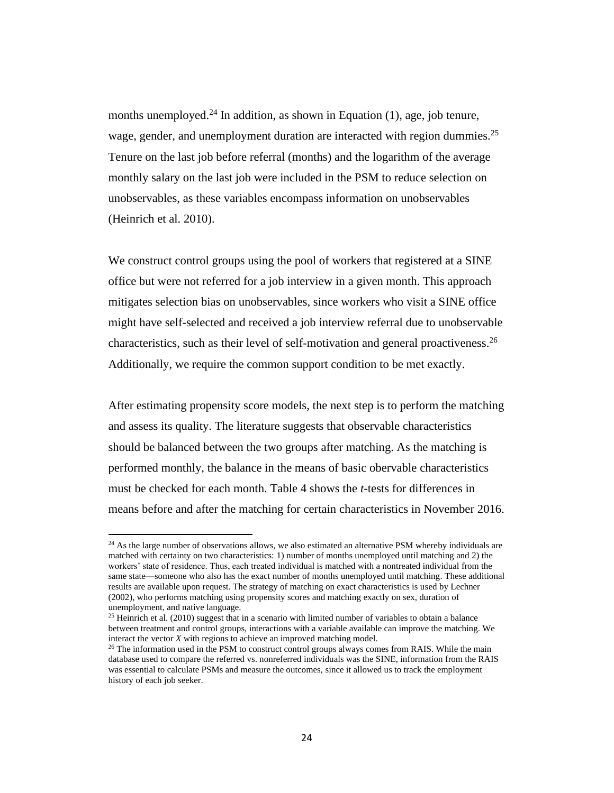months unemployed.<sup>24</sup> In addition, as shown in Equation (1), age, job tenure, wage, gender, and unemployment duration are interacted with region dummies.<sup>25</sup> Tenure on the last job before referral (months) and the logarithm of the average monthly salary on the last job were included in the PSM to reduce selection on unobservables, as these variables encompass information on unobservables (Heinrich et al. 2010).

We construct control groups using the pool of workers that registered at a SINE office but were not referred for a job interview in a given month. This approach mitigates selection bias on unobservables, since workers who visit a SINE office might have self-selected and received a job interview referral due to unobservable characteristics, such as their level of self-motivation and general proactiveness.<sup>26</sup> Additionally, we require the common support condition to be met exactly.

After estimating propensity score models, the next step is to perform the matching and assess its quality. The literature suggests that observable characteristics should be balanced between the two groups after matching. As the matching is performed monthly, the balance in the means of basic obervable characteristics must be checked for each month. Table 4 shows the *t*-tests for differences in means before and after the matching for certain characteristics in November 2016.

 $24$  As the large number of observations allows, we also estimated an alternative PSM whereby individuals are matched with certainty on two characteristics: 1) number of months unemployed until matching and 2) the workers' state of residence. Thus, each treated individual is matched with a nontreated individual from the same state—someone who also has the exact number of months unemployed until matching. These additional results are available upon request. The strategy of matching on exact characteristics is used by Lechner (2002), who performs matching using propensity scores and matching exactly on sex, duration of unemployment, and native language.

 $25$  Heinrich et al. (2010) suggest that in a scenario with limited number of variables to obtain a balance between treatment and control groups, interactions with a variable available can improve the matching. We interact the vector *X* with regions to achieve an improved matching model.

 $26$  The information used in the PSM to construct control groups always comes from RAIS. While the main database used to compare the referred vs. nonreferred individuals was the SINE, information from the RAIS was essential to calculate PSMs and measure the outcomes, since it allowed us to track the employment history of each job seeker.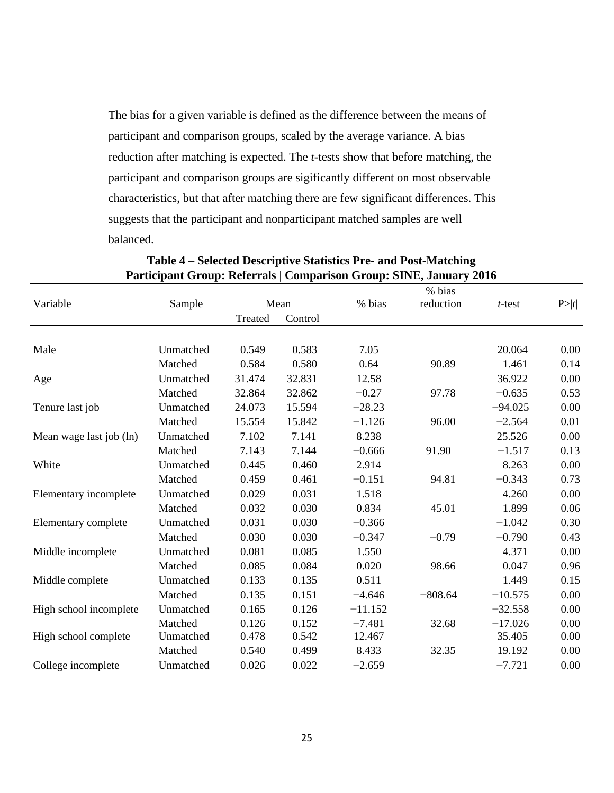The bias for a given variable is defined as the difference between the means of participant and comparison groups, scaled by the average variance. A bias reduction after matching is expected. The *t*-tests show that before matching, the participant and comparison groups are sigificantly different on most observable characteristics, but that after matching there are few significant differences. This suggests that the participant and nonparticipant matched samples are well balanced.

|                         |           |         |         |           | % bias    |           |      |
|-------------------------|-----------|---------|---------|-----------|-----------|-----------|------|
| Variable                | Sample    |         | Mean    | % bias    | reduction | t-test    | P> t |
|                         |           | Treated | Control |           |           |           |      |
|                         |           |         |         |           |           |           |      |
| Male                    | Unmatched | 0.549   | 0.583   | 7.05      |           | 20.064    | 0.00 |
|                         | Matched   | 0.584   | 0.580   | 0.64      | 90.89     | 1.461     | 0.14 |
| Age                     | Unmatched | 31.474  | 32.831  | 12.58     |           | 36.922    | 0.00 |
|                         | Matched   | 32.864  | 32.862  | $-0.27$   | 97.78     | $-0.635$  | 0.53 |
| Tenure last job         | Unmatched | 24.073  | 15.594  | $-28.23$  |           | $-94.025$ | 0.00 |
|                         | Matched   | 15.554  | 15.842  | $-1.126$  | 96.00     | $-2.564$  | 0.01 |
| Mean wage last job (ln) | Unmatched | 7.102   | 7.141   | 8.238     |           | 25.526    | 0.00 |
|                         | Matched   | 7.143   | 7.144   | $-0.666$  | 91.90     | $-1.517$  | 0.13 |
| White                   | Unmatched | 0.445   | 0.460   | 2.914     |           | 8.263     | 0.00 |
|                         | Matched   | 0.459   | 0.461   | $-0.151$  | 94.81     | $-0.343$  | 0.73 |
| Elementary incomplete   | Unmatched | 0.029   | 0.031   | 1.518     |           | 4.260     | 0.00 |
|                         | Matched   | 0.032   | 0.030   | 0.834     | 45.01     | 1.899     | 0.06 |
| Elementary complete     | Unmatched | 0.031   | 0.030   | $-0.366$  |           | $-1.042$  | 0.30 |
|                         | Matched   | 0.030   | 0.030   | $-0.347$  | $-0.79$   | $-0.790$  | 0.43 |
| Middle incomplete       | Unmatched | 0.081   | 0.085   | 1.550     |           | 4.371     | 0.00 |
|                         | Matched   | 0.085   | 0.084   | 0.020     | 98.66     | 0.047     | 0.96 |
| Middle complete         | Unmatched | 0.133   | 0.135   | 0.511     |           | 1.449     | 0.15 |
|                         | Matched   | 0.135   | 0.151   | $-4.646$  | $-808.64$ | $-10.575$ | 0.00 |
| High school incomplete  | Unmatched | 0.165   | 0.126   | $-11.152$ |           | $-32.558$ | 0.00 |
|                         | Matched   | 0.126   | 0.152   | $-7.481$  | 32.68     | $-17.026$ | 0.00 |
| High school complete    | Unmatched | 0.478   | 0.542   | 12.467    |           | 35.405    | 0.00 |
|                         | Matched   | 0.540   | 0.499   | 8.433     | 32.35     | 19.192    | 0.00 |
| College incomplete      | Unmatched | 0.026   | 0.022   | $-2.659$  |           | $-7.721$  | 0.00 |

### **Table 4 – Selected Descriptive Statistics Pre- and Post-Matching Participant Group: Referrals | Comparison Group: SINE, January 2016**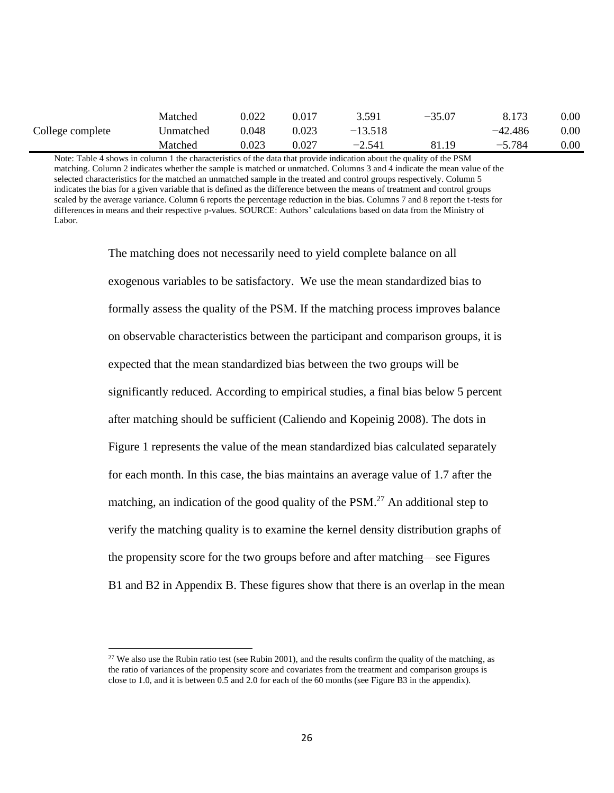|                  | Matched   | 0.022 | 0.017 | 3.591     | $-35.07$ | 8.173     | $0.00\,$ |
|------------------|-----------|-------|-------|-----------|----------|-----------|----------|
| College complete | Unmatched | 0.048 | 0.023 | $-13.518$ |          | $-42.486$ | $0.00\,$ |
|                  | Matched   | 0.023 | 0.027 | $-2.541$  | 81.19    | $-5.784$  | $0.00\,$ |

Note: Table 4 shows in column 1 the characteristics of the data that provide indication about the quality of the PSM matching. Column 2 indicates whether the sample is matched or unmatched. Columns 3 and 4 indicate the mean value of the selected characteristics for the matched an unmatched sample in the treated and control groups respectively. Column 5 indicates the bias for a given variable that is defined as the difference between the means of treatment and control groups scaled by the average variance. Column 6 reports the percentage reduction in the bias. Columns 7 and 8 report the t-tests for differences in means and their respective p-values. SOURCE: Authors' calculations based on data from the Ministry of Labor.

> The matching does not necessarily need to yield complete balance on all exogenous variables to be satisfactory. We use the mean standardized bias to formally assess the quality of the PSM. If the matching process improves balance on observable characteristics between the participant and comparison groups, it is expected that the mean standardized bias between the two groups will be significantly reduced. According to empirical studies, a final bias below 5 percent after matching should be sufficient (Caliendo and Kopeinig 2008). The dots in Figure 1 represents the value of the mean standardized bias calculated separately for each month. In this case, the bias maintains an average value of 1.7 after the matching, an indication of the good quality of the PSM.<sup>27</sup> An additional step to verify the matching quality is to examine the kernel density distribution graphs of the propensity score for the two groups before and after matching—see Figures B1 and B2 in Appendix B. These figures show that there is an overlap in the mean

<sup>&</sup>lt;sup>27</sup> We also use the Rubin ratio test (see Rubin 2001), and the results confirm the quality of the matching, as the ratio of variances of the propensity score and covariates from the treatment and comparison groups is close to 1.0, and it is between 0.5 and 2.0 for each of the 60 months (see Figure B3 in the appendix).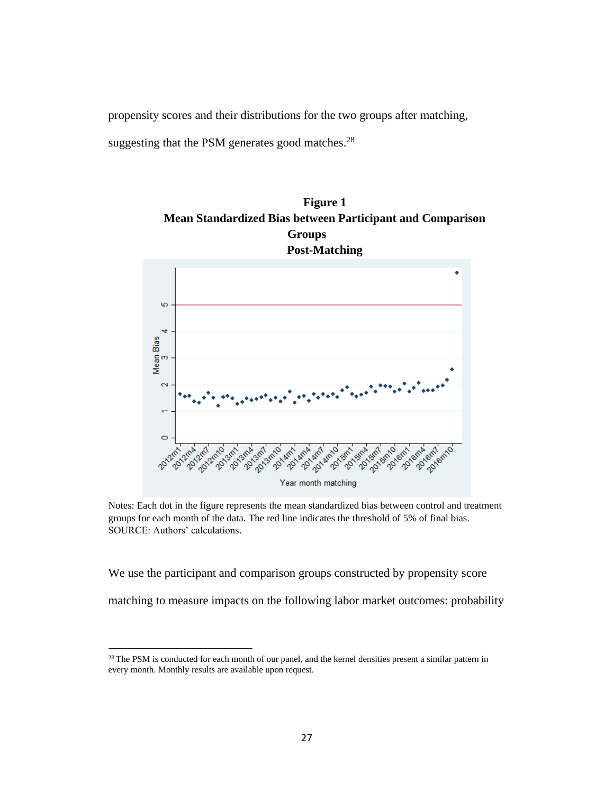propensity scores and their distributions for the two groups after matching,

suggesting that the PSM generates good matches. $28$ 





Notes: Each dot in the figure represents the mean standardized bias between control and treatment groups for each month of the data. The red line indicates the threshold of 5% of final bias. SOURCE: Authors' calculations.

We use the participant and comparison groups constructed by propensity score

matching to measure impacts on the following labor market outcomes: probability

<sup>&</sup>lt;sup>28</sup> The PSM is conducted for each month of our panel, and the kernel densities present a similar pattern in every month. Monthly results are available upon request.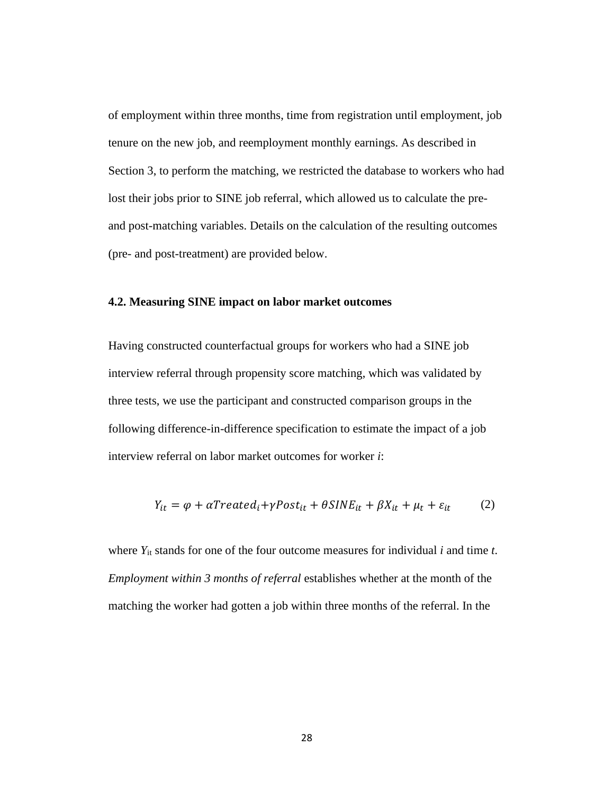of employment within three months, time from registration until employment, job tenure on the new job, and reemployment monthly earnings. As described in Section 3, to perform the matching, we restricted the database to workers who had lost their jobs prior to SINE job referral, which allowed us to calculate the preand post-matching variables. Details on the calculation of the resulting outcomes (pre- and post-treatment) are provided below.

### **4.2. Measuring SINE impact on labor market outcomes**

Having constructed counterfactual groups for workers who had a SINE job interview referral through propensity score matching, which was validated by three tests, we use the participant and constructed comparison groups in the following difference-in-difference specification to estimate the impact of a job interview referral on labor market outcomes for worker *i*:

$$
Y_{it} = \varphi + \alpha Treated_i + \gamma Post_{it} + \theta SINE_{it} + \beta X_{it} + \mu_t + \varepsilon_{it}
$$
 (2)

where  $Y_{it}$  stands for one of the four outcome measures for individual  $i$  and time  $t$ . *Employment within 3 months of referral* establishes whether at the month of the matching the worker had gotten a job within three months of the referral. In the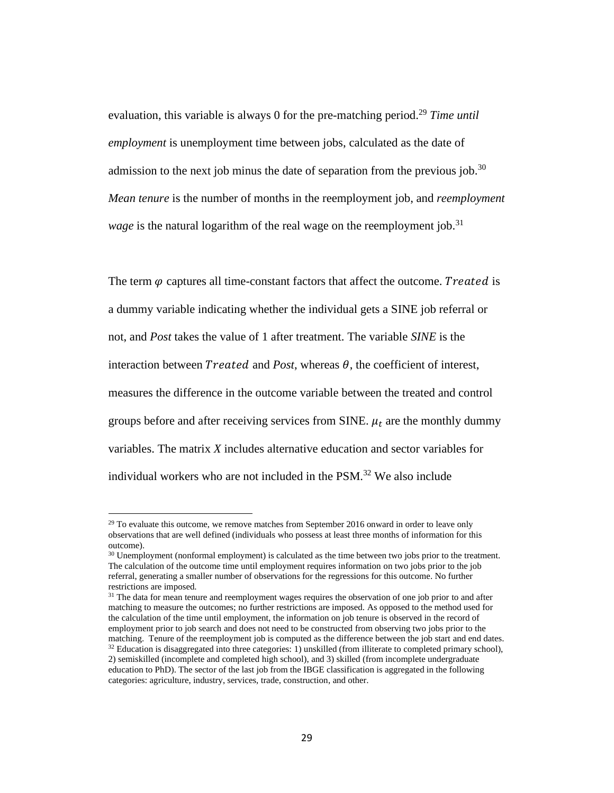evaluation, this variable is always 0 for the pre-matching period.<sup>29</sup> *Time until employment* is unemployment time between jobs, calculated as the date of admission to the next job minus the date of separation from the previous job.<sup>30</sup> *Mean tenure* is the number of months in the reemployment job, and *reemployment wage* is the natural logarithm of the real wage on the reemployment job. 31

The term  $\varphi$  captures all time-constant factors that affect the outcome. Treated is a dummy variable indicating whether the individual gets a SINE job referral or not, and *Post* takes the value of 1 after treatment. The variable *SINE* is the interaction between *Treated* and *Post*, whereas  $\theta$ , the coefficient of interest, measures the difference in the outcome variable between the treated and control groups before and after receiving services from SINE.  $\mu_t$  are the monthly dummy variables. The matrix *X* includes alternative education and sector variables for individual workers who are not included in the  $PSM<sup>32</sup>$  We also include

 $^{29}$  To evaluate this outcome, we remove matches from September 2016 onward in order to leave only observations that are well defined (individuals who possess at least three months of information for this outcome).

<sup>&</sup>lt;sup>30</sup> Unemployment (nonformal employment) is calculated as the time between two jobs prior to the treatment. The calculation of the outcome time until employment requires information on two jobs prior to the job referral, generating a smaller number of observations for the regressions for this outcome. No further restrictions are imposed.

<sup>&</sup>lt;sup>31</sup> The data for mean tenure and reemployment wages requires the observation of one job prior to and after matching to measure the outcomes; no further restrictions are imposed. As opposed to the method used for the calculation of the time until employment, the information on job tenure is observed in the record of employment prior to job search and does not need to be constructed from observing two jobs prior to the matching. Tenure of the reemployment job is computed as the difference between the job start and end dates.  $32$  Education is disaggregated into three categories: 1) unskilled (from illiterate to completed primary school), 2) semiskilled (incomplete and completed high school), and 3) skilled (from incomplete undergraduate education to PhD). The sector of the last job from the IBGE classification is aggregated in the following categories: agriculture, industry, services, trade, construction, and other.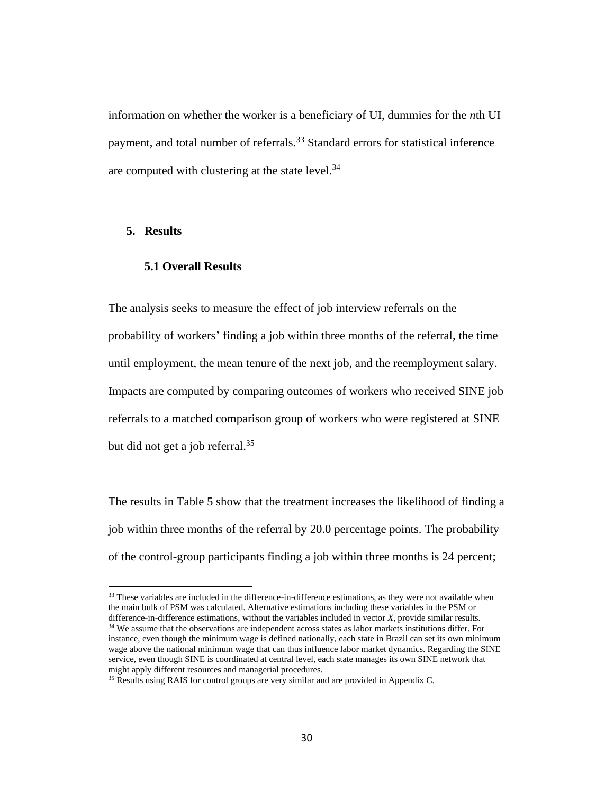information on whether the worker is a beneficiary of UI, dummies for the *n*th UI payment, and total number of referrals.<sup>33</sup> Standard errors for statistical inference are computed with clustering at the state level. $34$ 

### **5. Results**

### **5.1 Overall Results**

The analysis seeks to measure the effect of job interview referrals on the probability of workers' finding a job within three months of the referral, the time until employment, the mean tenure of the next job, and the reemployment salary. Impacts are computed by comparing outcomes of workers who received SINE job referrals to a matched comparison group of workers who were registered at SINE but did not get a job referral.<sup>35</sup>

The results in Table 5 show that the treatment increases the likelihood of finding a job within three months of the referral by 20.0 percentage points. The probability of the control-group participants finding a job within three months is 24 percent;

<sup>&</sup>lt;sup>33</sup> These variables are included in the difference-in-difference estimations, as they were not available when the main bulk of PSM was calculated. Alternative estimations including these variables in the PSM or difference-in-difference estimations, without the variables included in vector *X*, provide similar results. <sup>34</sup> We assume that the observations are independent across states as labor markets institutions differ. For instance, even though the minimum wage is defined nationally, each state in Brazil can set its own minimum wage above the national minimum wage that can thus influence labor market dynamics. Regarding the SINE service, even though SINE is coordinated at central level, each state manages its own SINE network that might apply different resources and managerial procedures.

<sup>&</sup>lt;sup>35</sup> Results using RAIS for control groups are very similar and are provided in Appendix C.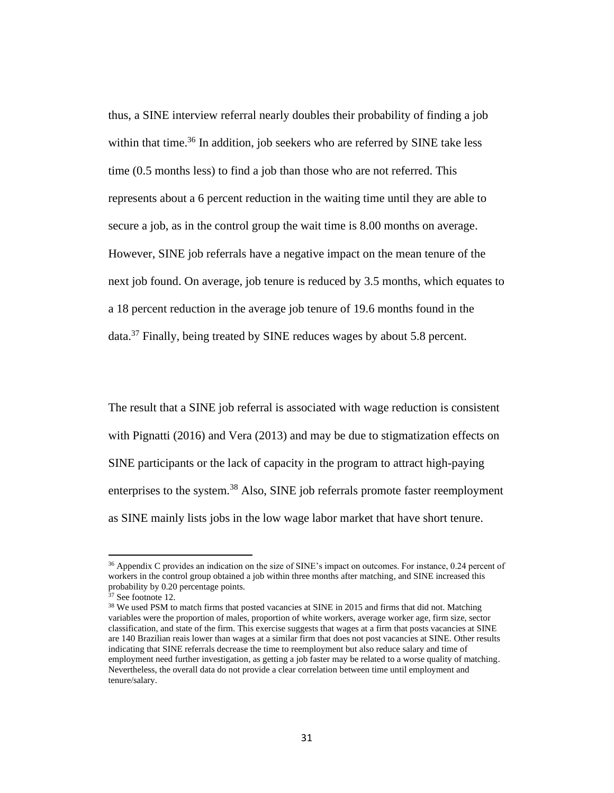thus, a SINE interview referral nearly doubles their probability of finding a job within that time.<sup>36</sup> In addition, job seekers who are referred by SINE take less time (0.5 months less) to find a job than those who are not referred. This represents about a 6 percent reduction in the waiting time until they are able to secure a job, as in the control group the wait time is 8.00 months on average. However, SINE job referrals have a negative impact on the mean tenure of the next job found. On average, job tenure is reduced by 3.5 months, which equates to a 18 percent reduction in the average job tenure of 19.6 months found in the data.<sup>37</sup> Finally, being treated by SINE reduces wages by about 5.8 percent.

The result that a SINE job referral is associated with wage reduction is consistent with Pignatti (2016) and Vera (2013) and may be due to stigmatization effects on SINE participants or the lack of capacity in the program to attract high-paying enterprises to the system.<sup>38</sup> Also, SINE job referrals promote faster reemployment as SINE mainly lists jobs in the low wage labor market that have short tenure.

<sup>&</sup>lt;sup>36</sup> Appendix C provides an indication on the size of SINE's impact on outcomes. For instance, 0.24 percent of workers in the control group obtained a job within three months after matching, and SINE increased this probability by 0.20 percentage points.

 $37$  See footnote 12.

<sup>&</sup>lt;sup>38</sup> We used PSM to match firms that posted vacancies at SINE in 2015 and firms that did not. Matching variables were the proportion of males, proportion of white workers, average worker age, firm size, sector classification, and state of the firm. This exercise suggests that wages at a firm that posts vacancies at SINE are 140 Brazilian reais lower than wages at a similar firm that does not post vacancies at SINE. Other results indicating that SINE referrals decrease the time to reemployment but also reduce salary and time of employment need further investigation, as getting a job faster may be related to a worse quality of matching. Nevertheless, the overall data do not provide a clear correlation between time until employment and tenure/salary.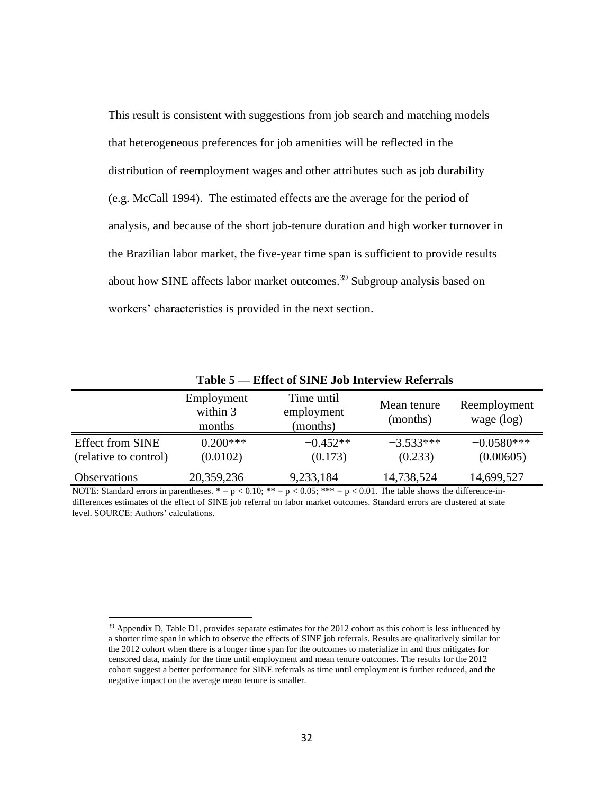This result is consistent with suggestions from job search and matching models that heterogeneous preferences for job amenities will be reflected in the distribution of reemployment wages and other attributes such as job durability (e.g. McCall 1994). The estimated effects are the average for the period of analysis, and because of the short job-tenure duration and high worker turnover in the Brazilian labor market, the five-year time span is sufficient to provide results about how SINE affects labor market outcomes.<sup>39</sup> Subgroup analysis based on workers' characteristics is provided in the next section.

|                                                  | .                                | LIIVU VI DII 111 GOD IIIVI 110 H INDIVITAND |                         |                              |
|--------------------------------------------------|----------------------------------|---------------------------------------------|-------------------------|------------------------------|
|                                                  | Employment<br>within 3<br>months | Time until<br>employment<br>(months)        | Mean tenure<br>(months) | Reemployment<br>wage $(log)$ |
| <b>Effect from SINE</b><br>(relative to control) | $0.200***$<br>(0.0102)           | $-0.452**$<br>(0.173)                       | $-3.533***$<br>(0.233)  | $-0.0580***$<br>(0.00605)    |
| <b>Observations</b>                              | 20,359,236                       | 9,233,184                                   | 14,738,524              | 14,699,527                   |

**Table 5 — Effect of SINE Job Interview Referrals**

NOTE: Standard errors in parentheses.  $* = p < 0.10$ ;  $** = p < 0.05$ ;  $*** = p < 0.01$ . The table shows the difference-indifferences estimates of the effect of SINE job referral on labor market outcomes. Standard errors are clustered at state level. SOURCE: Authors' calculations.

<sup>&</sup>lt;sup>39</sup> Appendix D, Table D1, provides separate estimates for the 2012 cohort as this cohort is less influenced by a shorter time span in which to observe the effects of SINE job referrals. Results are qualitatively similar for the 2012 cohort when there is a longer time span for the outcomes to materialize in and thus mitigates for censored data, mainly for the time until employment and mean tenure outcomes. The results for the 2012 cohort suggest a better performance for SINE referrals as time until employment is further reduced, and the negative impact on the average mean tenure is smaller.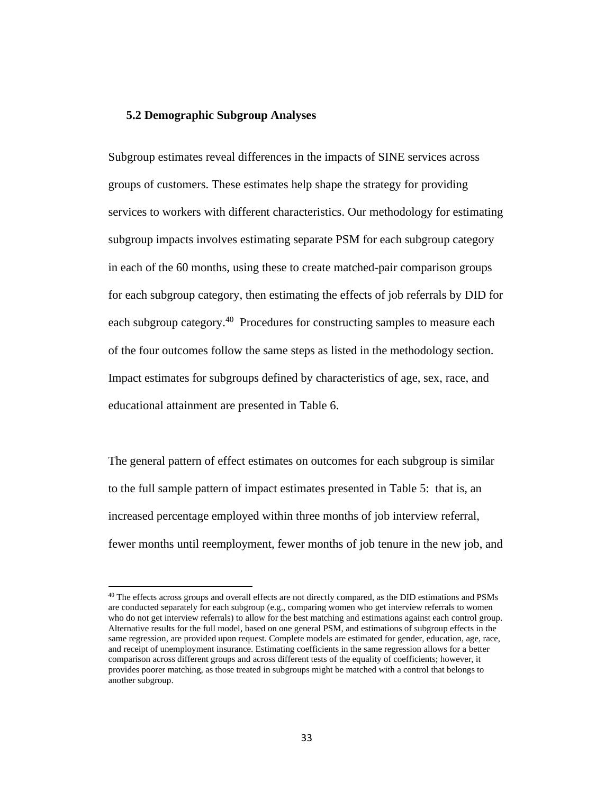### **5.2 Demographic Subgroup Analyses**

Subgroup estimates reveal differences in the impacts of SINE services across groups of customers. These estimates help shape the strategy for providing services to workers with different characteristics. Our methodology for estimating subgroup impacts involves estimating separate PSM for each subgroup category in each of the 60 months, using these to create matched-pair comparison groups for each subgroup category, then estimating the effects of job referrals by DID for each subgroup category.<sup>40</sup> Procedures for constructing samples to measure each of the four outcomes follow the same steps as listed in the methodology section. Impact estimates for subgroups defined by characteristics of age, sex, race, and educational attainment are presented in Table 6.

The general pattern of effect estimates on outcomes for each subgroup is similar to the full sample pattern of impact estimates presented in Table 5: that is, an increased percentage employed within three months of job interview referral, fewer months until reemployment, fewer months of job tenure in the new job, and

<sup>&</sup>lt;sup>40</sup> The effects across groups and overall effects are not directly compared, as the DID estimations and PSMs are conducted separately for each subgroup (e.g., comparing women who get interview referrals to women who do not get interview referrals) to allow for the best matching and estimations against each control group. Alternative results for the full model, based on one general PSM, and estimations of subgroup effects in the same regression, are provided upon request. Complete models are estimated for gender, education, age, race, and receipt of unemployment insurance. Estimating coefficients in the same regression allows for a better comparison across different groups and across different tests of the equality of coefficients; however, it provides poorer matching, as those treated in subgroups might be matched with a control that belongs to another subgroup.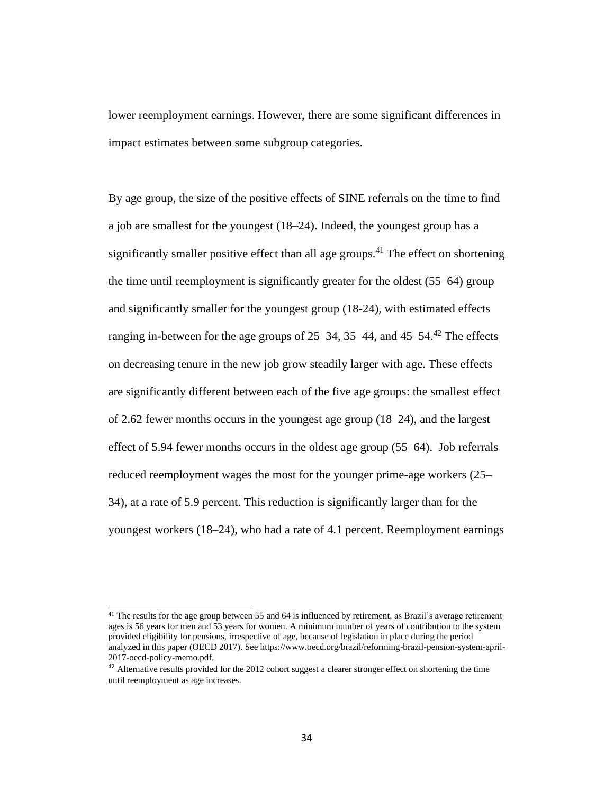lower reemployment earnings. However, there are some significant differences in impact estimates between some subgroup categories.

By age group, the size of the positive effects of SINE referrals on the time to find a job are smallest for the youngest (18‒24). Indeed, the youngest group has a significantly smaller positive effect than all age groups. <sup>41</sup> The effect on shortening the time until reemployment is significantly greater for the oldest (55‒64) group and significantly smaller for the youngest group (18-24), with estimated effects ranging in-between for the age groups of  $25-34$ ,  $35-44$ , and  $45-54$ .<sup>42</sup> The effects on decreasing tenure in the new job grow steadily larger with age. These effects are significantly different between each of the five age groups: the smallest effect of 2.62 fewer months occurs in the youngest age group  $(18-24)$ , and the largest effect of  $5.94$  fewer months occurs in the oldest age group  $(55-64)$ . Job referrals reduced reemployment wages the most for the younger prime-age workers (25– 34), at a rate of 5.9 percent. This reduction is significantly larger than for the youngest workers (18‒24), who had a rate of 4.1 percent. Reemployment earnings

<sup>&</sup>lt;sup>41</sup> The results for the age group between 55 and 64 is influenced by retirement, as Brazil's average retirement ages is 56 years for men and 53 years for women. A minimum number of years of contribution to the system provided eligibility for pensions, irrespective of age, because of legislation in place during the period analyzed in this paper (OECD 2017). See https://www.oecd.org/brazil/reforming-brazil-pension-system-april-2017-oecd-policy-memo.pdf.

<sup>&</sup>lt;sup>42</sup> Alternative results provided for the 2012 cohort suggest a clearer stronger effect on shortening the time until reemployment as age increases.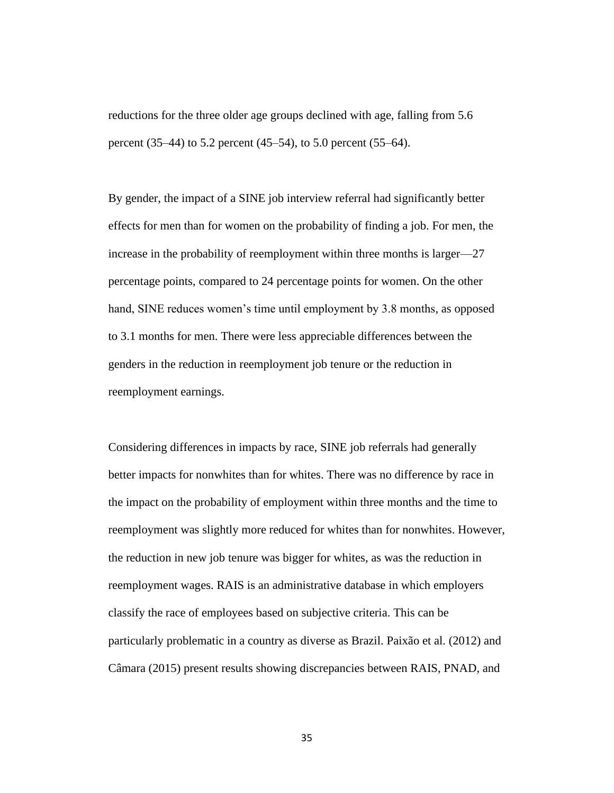reductions for the three older age groups declined with age, falling from 5.6 percent (35–44) to 5.2 percent (45–54), to 5.0 percent (55–64).

By gender, the impact of a SINE job interview referral had significantly better effects for men than for women on the probability of finding a job. For men, the increase in the probability of reemployment within three months is larger—27 percentage points, compared to 24 percentage points for women. On the other hand, SINE reduces women's time until employment by 3.8 months, as opposed to 3.1 months for men. There were less appreciable differences between the genders in the reduction in reemployment job tenure or the reduction in reemployment earnings.

Considering differences in impacts by race, SINE job referrals had generally better impacts for nonwhites than for whites. There was no difference by race in the impact on the probability of employment within three months and the time to reemployment was slightly more reduced for whites than for nonwhites. However, the reduction in new job tenure was bigger for whites, as was the reduction in reemployment wages. RAIS is an administrative database in which employers classify the race of employees based on subjective criteria. This can be particularly problematic in a country as diverse as Brazil. Paixão et al. (2012) and Câmara (2015) present results showing discrepancies between RAIS, PNAD, and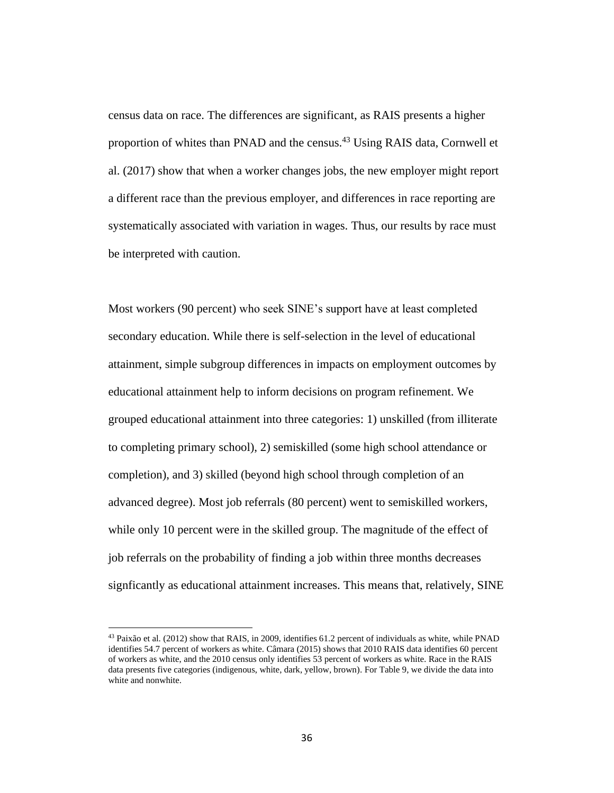census data on race. The differences are significant, as RAIS presents a higher proportion of whites than PNAD and the census.<sup>43</sup> Using RAIS data, Cornwell et al. (2017) show that when a worker changes jobs, the new employer might report a different race than the previous employer, and differences in race reporting are systematically associated with variation in wages. Thus, our results by race must be interpreted with caution.

Most workers (90 percent) who seek SINE's support have at least completed secondary education. While there is self-selection in the level of educational attainment, simple subgroup differences in impacts on employment outcomes by educational attainment help to inform decisions on program refinement. We grouped educational attainment into three categories: 1) unskilled (from illiterate to completing primary school), 2) semiskilled (some high school attendance or completion), and 3) skilled (beyond high school through completion of an advanced degree). Most job referrals (80 percent) went to semiskilled workers, while only 10 percent were in the skilled group. The magnitude of the effect of job referrals on the probability of finding a job within three months decreases signficantly as educational attainment increases. This means that, relatively, SINE

<sup>43</sup> Paixão et al. (2012) show that RAIS, in 2009, identifies 61.2 percent of individuals as white, while PNAD identifies 54.7 percent of workers as white. Câmara (2015) shows that 2010 RAIS data identifies 60 percent of workers as white, and the 2010 census only identifies 53 percent of workers as white. Race in the RAIS data presents five categories (indigenous, white, dark, yellow, brown). For Table 9, we divide the data into white and nonwhite.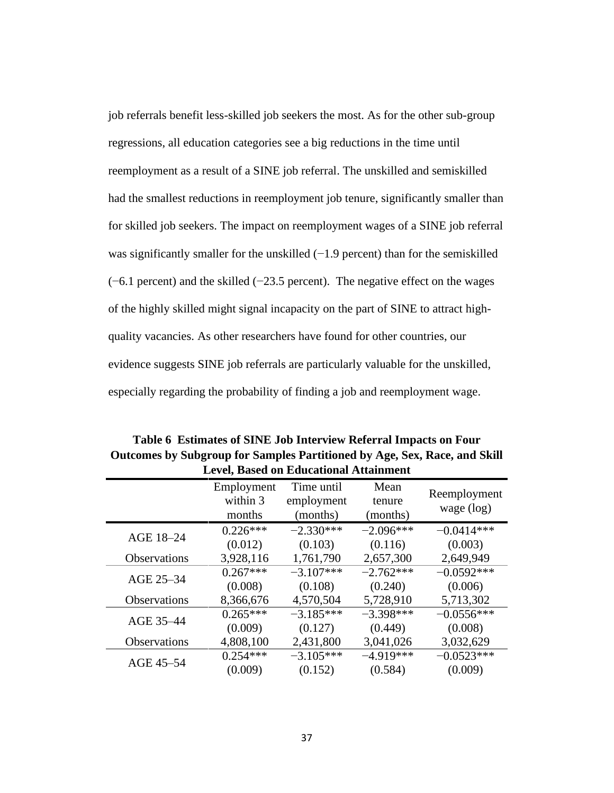job referrals benefit less-skilled job seekers the most. As for the other sub-group regressions, all education categories see a big reductions in the time until reemployment as a result of a SINE job referral. The unskilled and semiskilled had the smallest reductions in reemployment job tenure, significantly smaller than for skilled job seekers. The impact on reemployment wages of a SINE job referral was significantly smaller for the unskilled (−1.9 percent) than for the semiskilled (−6.1 percent) and the skilled (−23.5 percent). The negative effect on the wages of the highly skilled might signal incapacity on the part of SINE to attract highquality vacancies. As other researchers have found for other countries, our evidence suggests SINE job referrals are particularly valuable for the unskilled, especially regarding the probability of finding a job and reemployment wage.

| <b>Level, Based on Educational Attainment</b> |                                  |                                      |                            |                              |  |  |
|-----------------------------------------------|----------------------------------|--------------------------------------|----------------------------|------------------------------|--|--|
|                                               | Employment<br>within 3<br>months | Time until<br>employment<br>(months) | Mean<br>tenure<br>(months) | Reemployment<br>wage $(log)$ |  |  |
| AGE 18-24                                     | $0.226***$                       | $-2.330***$                          | $-2.096***$                | $-0.0414***$                 |  |  |
|                                               | (0.012)                          | (0.103)                              | (0.116)                    | (0.003)                      |  |  |
| <b>Observations</b>                           | 3,928,116                        | 1,761,790                            | 2,657,300                  | 2,649,949                    |  |  |
| AGE 25-34                                     | $0.267***$                       | $-3.107***$                          | $-2.762***$                | $-0.0592***$                 |  |  |
|                                               | (0.008)                          | (0.108)                              | (0.240)                    | (0.006)                      |  |  |
| Observations                                  | 8,366,676                        | 4,570,504                            | 5,728,910                  | 5,713,302                    |  |  |
| AGE 35-44                                     | $0.265***$                       | $-3.185***$                          | $-3.398***$                | $-0.0556***$                 |  |  |
|                                               | (0.009)                          | (0.127)                              | (0.449)                    | (0.008)                      |  |  |
| Observations                                  | 4,808,100                        | 2,431,800                            | 3,041,026                  | 3,032,629                    |  |  |
| AGE 45-54                                     | $0.254***$                       | $-3.105***$                          | $-4.919***$                | $-0.0523***$                 |  |  |
|                                               | (0.009)                          | (0.152)                              | (0.584)                    | (0.009)                      |  |  |

**Table 6 Estimates of SINE Job Interview Referral Impacts on Four Outcomes by Subgroup for Samples Partitioned by Age, Sex, Race, and Skill**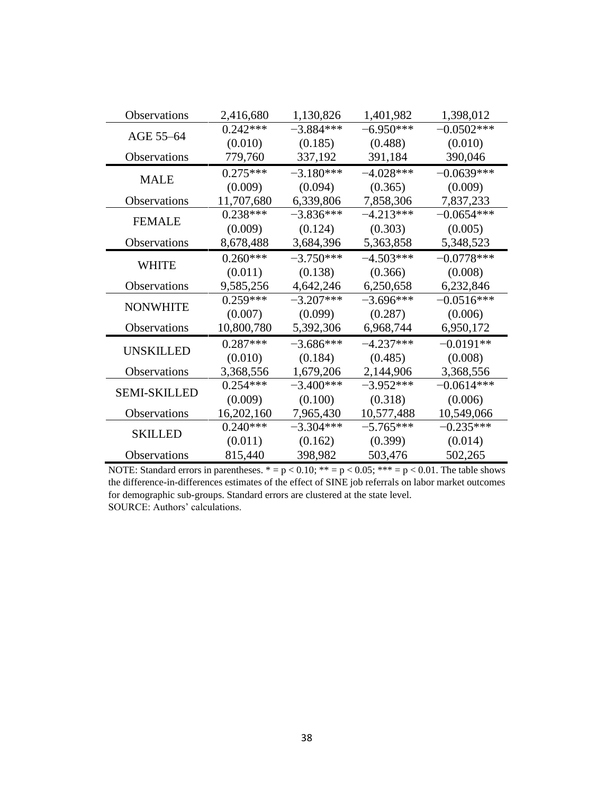| <b>Observations</b> | 2,416,680  | 1,130,826   | 1,401,982   | 1,398,012    |
|---------------------|------------|-------------|-------------|--------------|
| AGE 55-64           | $0.242***$ | $-3.884***$ | $-6.950***$ | $-0.0502***$ |
|                     | (0.010)    | (0.185)     | (0.488)     | (0.010)      |
| <b>Observations</b> | 779,760    | 337,192     | 391,184     | 390,046      |
| <b>MALE</b>         | $0.275***$ | $-3.180***$ | $-4.028***$ | $-0.0639***$ |
|                     | (0.009)    | (0.094)     | (0.365)     | (0.009)      |
| Observations        | 11,707,680 | 6,339,806   | 7,858,306   | 7,837,233    |
| <b>FEMALE</b>       | $0.238***$ | $-3.836***$ | $-4.213***$ | $-0.0654***$ |
|                     | (0.009)    | (0.124)     | (0.303)     | (0.005)      |
| <b>Observations</b> | 8,678,488  | 3,684,396   | 5,363,858   | 5,348,523    |
|                     | $0.260***$ | $-3.750***$ | $-4.503***$ | $-0.0778***$ |
| <b>WHITE</b>        | (0.011)    | (0.138)     | (0.366)     | (0.008)      |
| <b>Observations</b> | 9,585,256  | 4,642,246   | 6,250,658   | 6,232,846    |
| <b>NONWHITE</b>     | $0.259***$ | $-3.207***$ | $-3.696***$ | $-0.0516***$ |
|                     | (0.007)    | (0.099)     | (0.287)     | (0.006)      |
| Observations        | 10,800,780 | 5,392,306   | 6,968,744   | 6,950,172    |
|                     | $0.287***$ | $-3.686***$ | $-4.237***$ | $-0.0191**$  |
| <b>UNSKILLED</b>    | (0.010)    | (0.184)     | (0.485)     | (0.008)      |
| <b>Observations</b> | 3,368,556  | 1,679,206   | 2,144,906   | 3,368,556    |
| <b>SEMI-SKILLED</b> | $0.254***$ | $-3.400***$ | $-3.952***$ | $-0.0614***$ |
|                     | (0.009)    | (0.100)     | (0.318)     | (0.006)      |
| <b>Observations</b> | 16,202,160 | 7,965,430   | 10,577,488  | 10,549,066   |
| <b>SKILLED</b>      | $0.240***$ | $-3.304***$ | $-5.765***$ | $-0.235***$  |
|                     | (0.011)    | (0.162)     | (0.399)     | (0.014)      |
| <b>Observations</b> | 815,440    | 398,982     | 503,476     | 502,265      |

NOTE: Standard errors in parentheses.  $* = p < 0.10$ ;  $** = p < 0.05$ ;  $*** = p < 0.01$ . The table shows the difference-in-differences estimates of the effect of SINE job referrals on labor market outcomes for demographic sub-groups. Standard errors are clustered at the state level. SOURCE: Authors' calculations.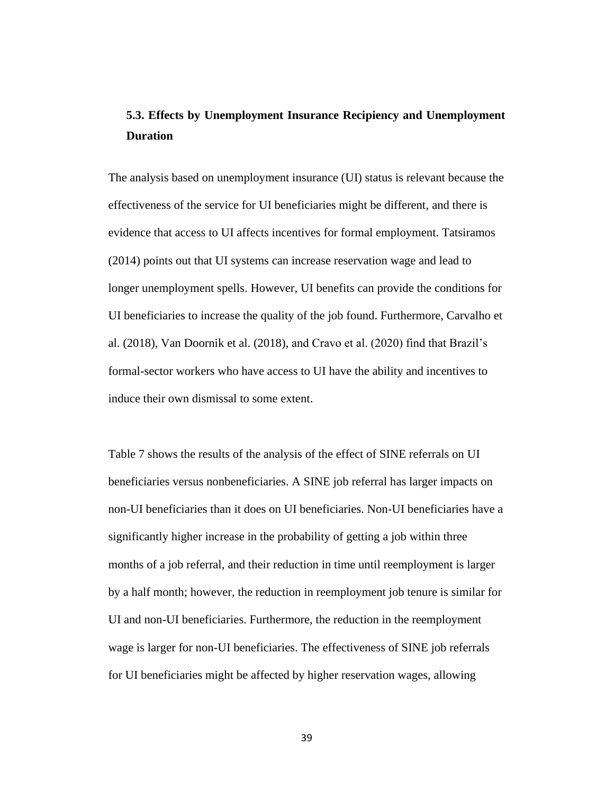# **5.3. Effects by Unemployment Insurance Recipiency and Unemployment Duration**

The analysis based on unemployment insurance (UI) status is relevant because the effectiveness of the service for UI beneficiaries might be different, and there is evidence that access to UI affects incentives for formal employment. Tatsiramos (2014) points out that UI systems can increase reservation wage and lead to longer unemployment spells. However, UI benefits can provide the conditions for UI beneficiaries to increase the quality of the job found. Furthermore, Carvalho et al. (2018), Van Doornik et al. (2018), and Cravo et al. (2020) find that Brazil's formal-sector workers who have access to UI have the ability and incentives to induce their own dismissal to some extent.

Table 7 shows the results of the analysis of the effect of SINE referrals on UI beneficiaries versus nonbeneficiaries. A SINE job referral has larger impacts on non-UI beneficiaries than it does on UI beneficiaries. Non-UI beneficiaries have a significantly higher increase in the probability of getting a job within three months of a job referral, and their reduction in time until reemployment is larger by a half month; however, the reduction in reemployment job tenure is similar for UI and non-UI beneficiaries. Furthermore, the reduction in the reemployment wage is larger for non-UI beneficiaries. The effectiveness of SINE job referrals for UI beneficiaries might be affected by higher reservation wages, allowing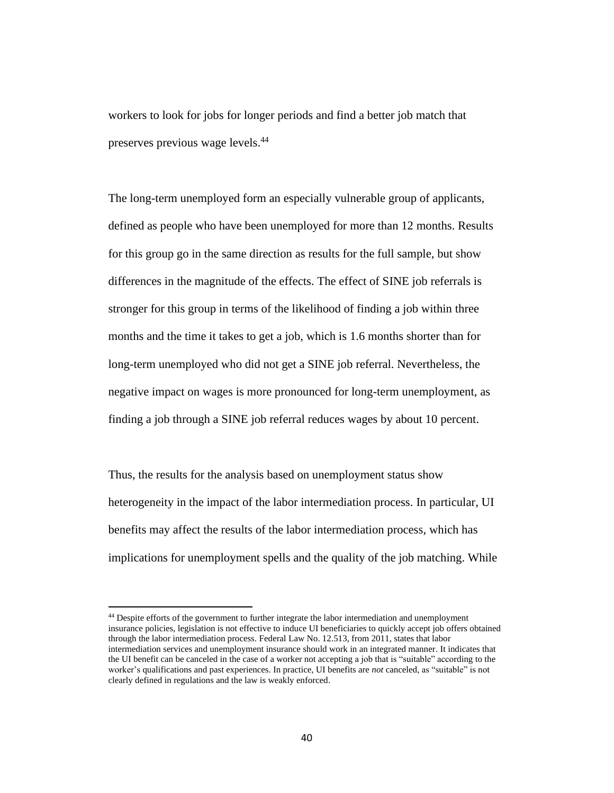workers to look for jobs for longer periods and find a better job match that preserves previous wage levels. 44

The long-term unemployed form an especially vulnerable group of applicants, defined as people who have been unemployed for more than 12 months. Results for this group go in the same direction as results for the full sample, but show differences in the magnitude of the effects. The effect of SINE job referrals is stronger for this group in terms of the likelihood of finding a job within three months and the time it takes to get a job, which is 1.6 months shorter than for long-term unemployed who did not get a SINE job referral. Nevertheless, the negative impact on wages is more pronounced for long-term unemployment, as finding a job through a SINE job referral reduces wages by about 10 percent.

Thus, the results for the analysis based on unemployment status show heterogeneity in the impact of the labor intermediation process. In particular, UI benefits may affect the results of the labor intermediation process, which has implications for unemployment spells and the quality of the job matching. While

<sup>44</sup> Despite efforts of the government to further integrate the labor intermediation and unemployment insurance policies, legislation is not effective to induce UI beneficiaries to quickly accept job offers obtained through the labor intermediation process. Federal Law No. 12.513, from 2011, states that labor intermediation services and unemployment insurance should work in an integrated manner. It indicates that the UI benefit can be canceled in the case of a worker not accepting a job that is "suitable" according to the worker's qualifications and past experiences. In practice, UI benefits are *not* canceled, as "suitable" is not clearly defined in regulations and the law is weakly enforced.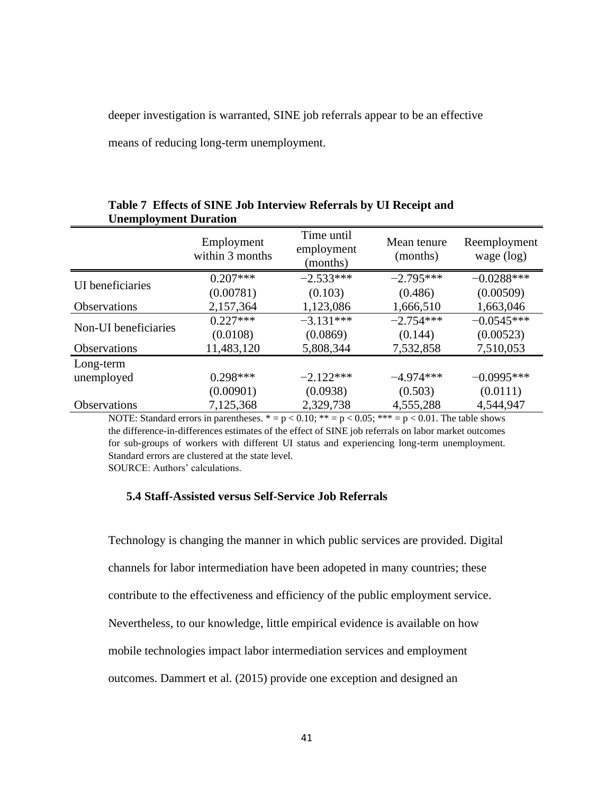deeper investigation is warranted, SINE job referrals appear to be an effective

means of reducing long-term unemployment.

| Chempio, ment Duranon |                               |                                      |                         |                              |
|-----------------------|-------------------------------|--------------------------------------|-------------------------|------------------------------|
|                       | Employment<br>within 3 months | Time until<br>employment<br>(months) | Mean tenure<br>(months) | Reemployment<br>wage $(log)$ |
| UI beneficiaries      | $0.207***$                    | $-2.533***$                          | $-2.795***$             | $-0.0288***$                 |
|                       | (0.00781)                     | (0.103)                              | (0.486)                 | (0.00509)                    |
| <b>Observations</b>   | 2,157,364                     | 1,123,086                            | 1,666,510               | 1,663,046                    |
| Non-UI beneficiaries  | $0.227***$                    | $-3.131***$                          | $-2.754***$             | $-0.0545***$                 |
|                       | (0.0108)                      | (0.0869)                             | (0.144)                 | (0.00523)                    |
| Observations          | 11,483,120                    | 5,808,344                            | 7,532,858               | 7,510,053                    |
| Long-term             |                               |                                      |                         |                              |
| unemployed            | $0.298***$                    | $-2.122***$                          | $-4.974***$             | $-0.0995***$                 |
|                       | (0.00901)                     | (0.0938)                             | (0.503)                 | (0.0111)                     |
| <b>Observations</b>   | 7,125,368                     | 2,329,738                            | 4,555,288               | 4,544,947                    |
|                       |                               |                                      |                         |                              |

### **Table 7 Effects of SINE Job Interview Referrals by UI Receipt and Unemployment Duration**

NOTE: Standard errors in parentheses.  $* = p < 0.10$ ;  $** = p < 0.05$ ;  $*** = p < 0.01$ . The table shows the difference-in-differences estimates of the effect of SINE job referrals on labor market outcomes for sub-groups of workers with different UI status and experiencing long-term unemployment. Standard errors are clustered at the state level.

SOURCE: Authors' calculations.

### **5.4 Staff-Assisted versus Self-Service Job Referrals**

Technology is changing the manner in which public services are provided. Digital channels for labor intermediation have been adopeted in many countries; these contribute to the effectiveness and efficiency of the public employment service. Nevertheless, to our knowledge, little empirical evidence is available on how mobile technologies impact labor intermediation services and employment outcomes. Dammert et al. (2015) provide one exception and designed an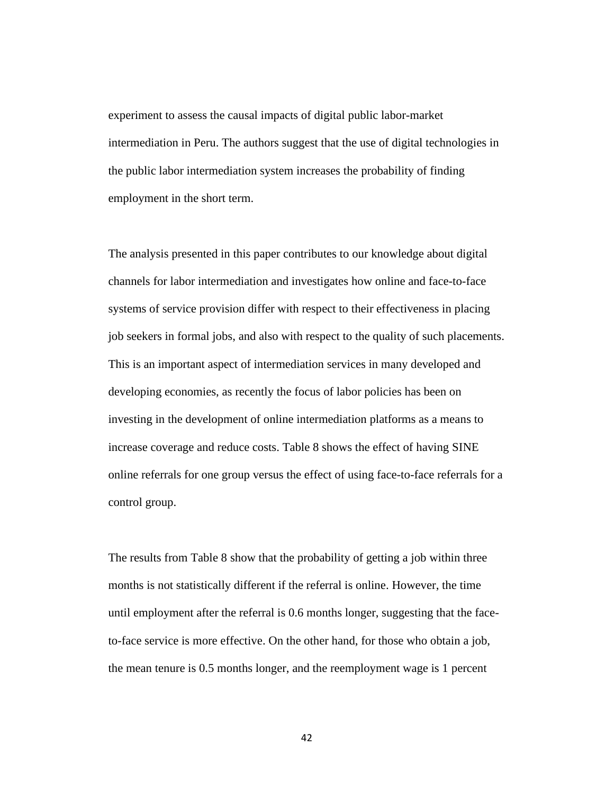experiment to assess the causal impacts of digital public labor-market intermediation in Peru. The authors suggest that the use of digital technologies in the public labor intermediation system increases the probability of finding employment in the short term.

The analysis presented in this paper contributes to our knowledge about digital channels for labor intermediation and investigates how online and face-to-face systems of service provision differ with respect to their effectiveness in placing job seekers in formal jobs, and also with respect to the quality of such placements. This is an important aspect of intermediation services in many developed and developing economies, as recently the focus of labor policies has been on investing in the development of online intermediation platforms as a means to increase coverage and reduce costs. Table 8 shows the effect of having SINE online referrals for one group versus the effect of using face-to-face referrals for a control group.

The results from Table 8 show that the probability of getting a job within three months is not statistically different if the referral is online. However, the time until employment after the referral is 0.6 months longer, suggesting that the faceto-face service is more effective. On the other hand, for those who obtain a job, the mean tenure is 0.5 months longer, and the reemployment wage is 1 percent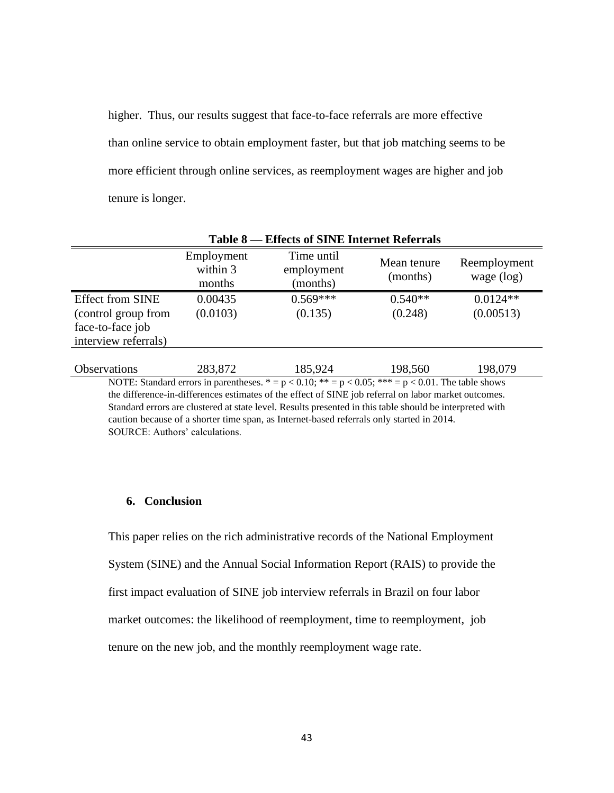higher. Thus, our results suggest that face-to-face referrals are more effective than online service to obtain employment faster, but that job matching seems to be more efficient through online services, as reemployment wages are higher and job tenure is longer.

| Table 8 – Effects of SINE Internet Referrals                                               |                                  |                                      |                         |                              |  |  |
|--------------------------------------------------------------------------------------------|----------------------------------|--------------------------------------|-------------------------|------------------------------|--|--|
|                                                                                            | Employment<br>within 3<br>months | Time until<br>employment<br>(months) | Mean tenure<br>(months) | Reemployment<br>wage $(log)$ |  |  |
| <b>Effect from SINE</b><br>(control group from<br>face-to-face job<br>interview referrals) | 0.00435<br>(0.0103)              | $0.569***$<br>(0.135)                | $0.540**$<br>(0.248)    | $0.0124**$<br>(0.00513)      |  |  |
| <b>Observations</b>                                                                        | 283,872                          | 185,924                              | 198,560                 | 198,079                      |  |  |

NOTE: Standard errors in parentheses.  $* = p < 0.10$ ;  $** = p < 0.05$ ;  $*** = p < 0.01$ . The table shows the difference-in-differences estimates of the effect of SINE job referral on labor market outcomes. Standard errors are clustered at state level. Results presented in this table should be interpreted with caution because of a shorter time span, as Internet-based referrals only started in 2014. SOURCE: Authors' calculations.

### **6. Conclusion**

This paper relies on the rich administrative records of the National Employment System (SINE) and the Annual Social Information Report (RAIS) to provide the first impact evaluation of SINE job interview referrals in Brazil on four labor market outcomes: the likelihood of reemployment, time to reemployment, job tenure on the new job, and the monthly reemployment wage rate.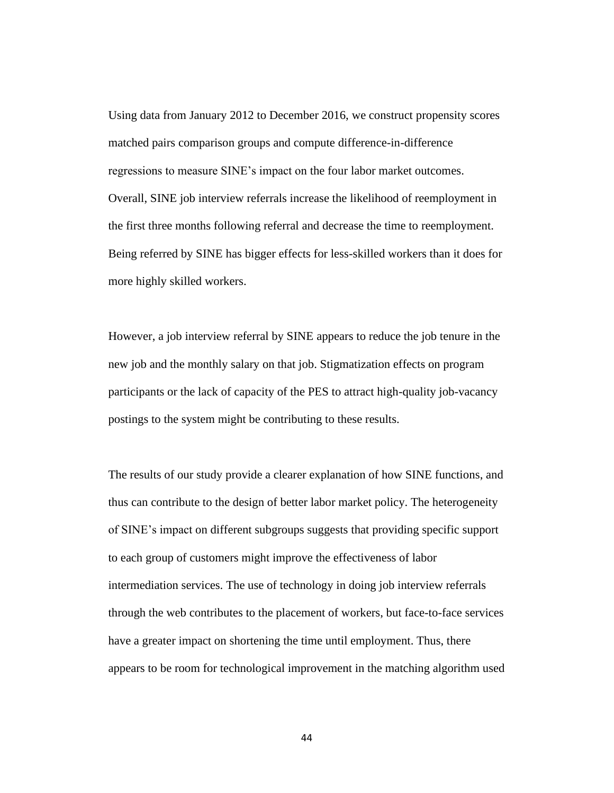Using data from January 2012 to December 2016, we construct propensity scores matched pairs comparison groups and compute difference-in-difference regressions to measure SINE's impact on the four labor market outcomes. Overall, SINE job interview referrals increase the likelihood of reemployment in the first three months following referral and decrease the time to reemployment. Being referred by SINE has bigger effects for less-skilled workers than it does for more highly skilled workers.

However, a job interview referral by SINE appears to reduce the job tenure in the new job and the monthly salary on that job. Stigmatization effects on program participants or the lack of capacity of the PES to attract high-quality job-vacancy postings to the system might be contributing to these results.

The results of our study provide a clearer explanation of how SINE functions, and thus can contribute to the design of better labor market policy. The heterogeneity of SINE's impact on different subgroups suggests that providing specific support to each group of customers might improve the effectiveness of labor intermediation services. The use of technology in doing job interview referrals through the web contributes to the placement of workers, but face-to-face services have a greater impact on shortening the time until employment. Thus, there appears to be room for technological improvement in the matching algorithm used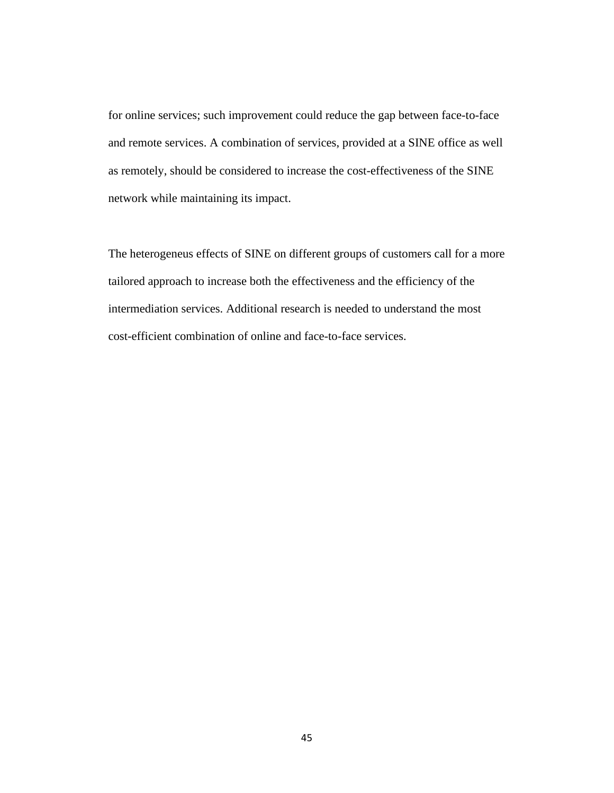for online services; such improvement could reduce the gap between face-to-face and remote services. A combination of services, provided at a SINE office as well as remotely, should be considered to increase the cost-effectiveness of the SINE network while maintaining its impact.

The heterogeneus effects of SINE on different groups of customers call for a more tailored approach to increase both the effectiveness and the efficiency of the intermediation services. Additional research is needed to understand the most cost-efficient combination of online and face-to-face services.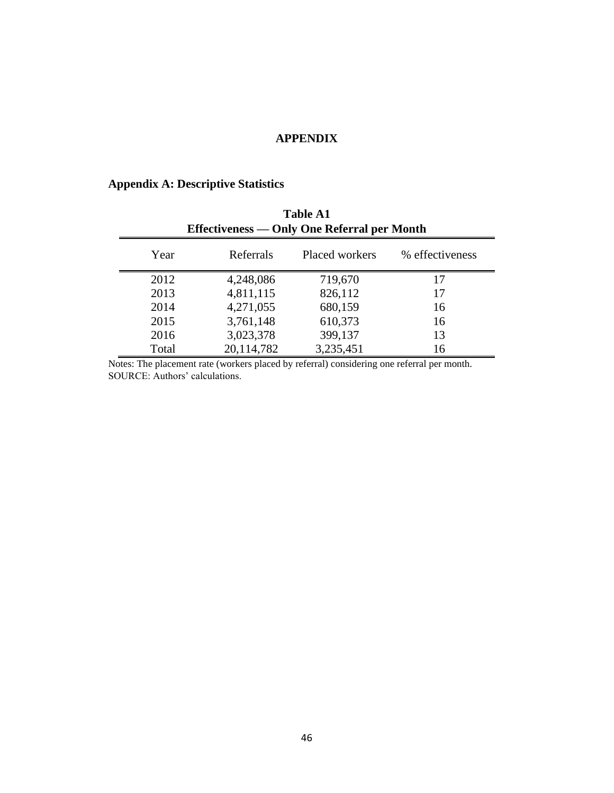### **APPENDIX**

# **Appendix A: Descriptive Statistics**

| <b>Table A1</b><br>Effectiveness — Only One Referral per Month |            |                |                 |  |  |  |
|----------------------------------------------------------------|------------|----------------|-----------------|--|--|--|
| Year                                                           | Referrals  | Placed workers | % effectiveness |  |  |  |
| 2012                                                           | 4,248,086  | 719,670        | 17              |  |  |  |
| 2013                                                           | 4,811,115  | 826,112        | 17              |  |  |  |
| 2014                                                           | 4,271,055  | 680,159        | 16              |  |  |  |
| 2015                                                           | 3,761,148  | 610,373        | 16              |  |  |  |
| 2016                                                           | 3,023,378  | 399,137        | 13              |  |  |  |
| Total                                                          | 20,114,782 | 3,235,451      | 16              |  |  |  |

Notes: The placement rate (workers placed by referral) considering one referral per month. SOURCE: Authors' calculations.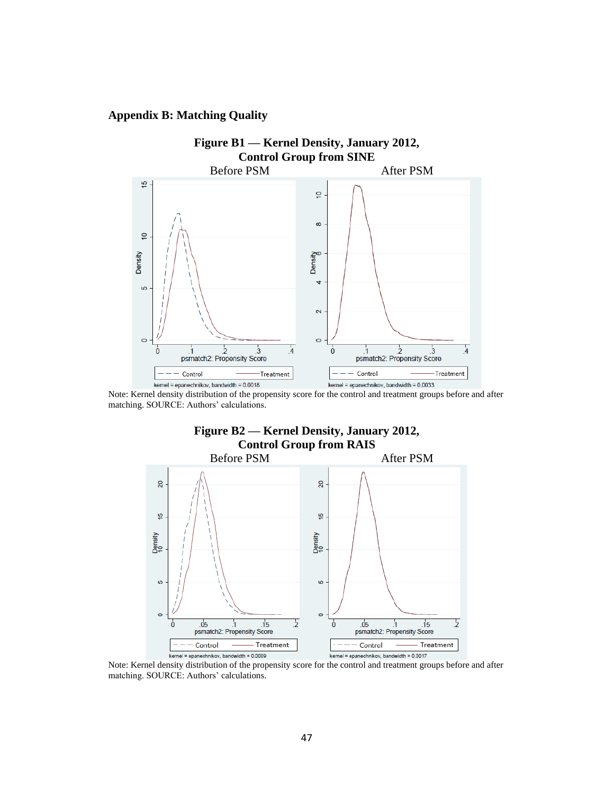### **Appendix B: Matching Quality**



Note: Kernel density distribution of the propensity score for the control and treatment groups before and after matching. SOURCE: Authors' calculations.



Note: Kernel density distribution of the propensity score for the control and treatment groups before and after matching. SOURCE: Authors' calculations.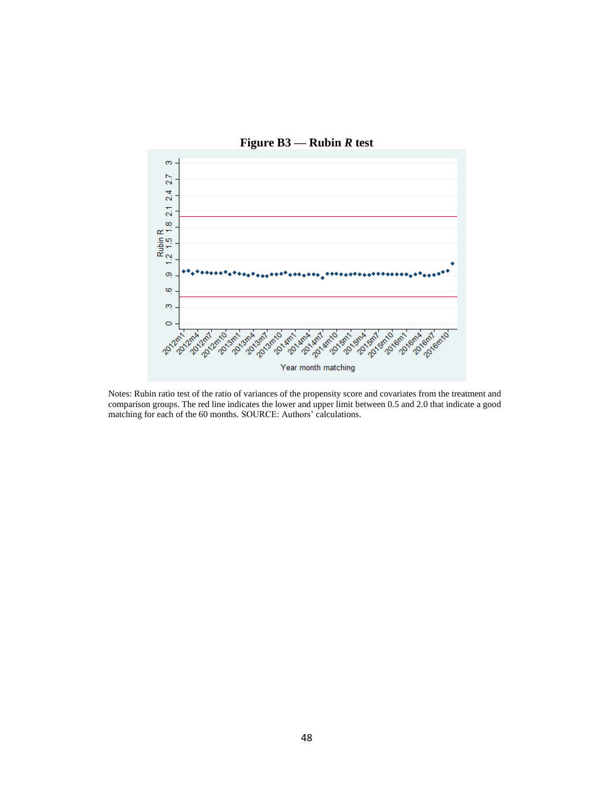

Notes: Rubin ratio test of the ratio of variances of the propensity score and covariates from the treatment and comparison groups. The red line indicates the lower and upper limit between 0.5 and 2.0 that indicate a good matching for each of the 60 months. SOURCE: Authors' calculations.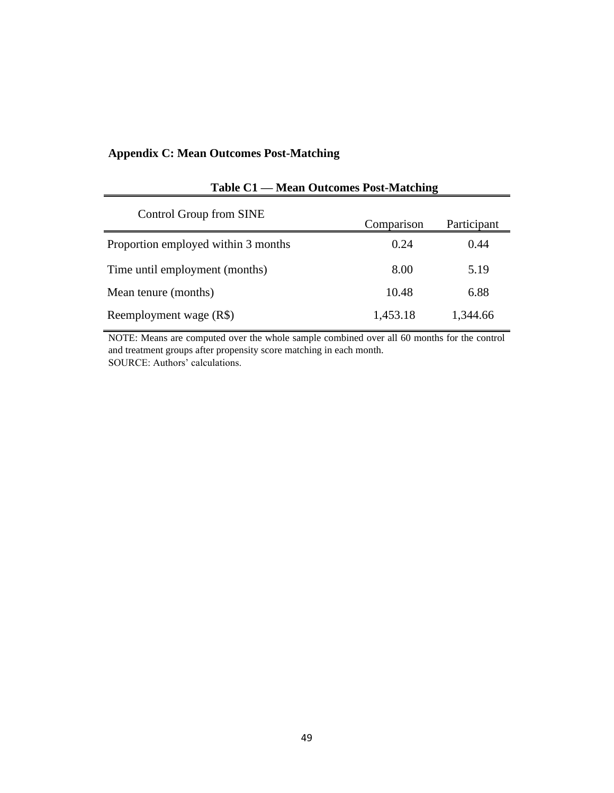### **Appendix C: Mean Outcomes Post-Matching**

| Control Group from SINE             | Comparison | Participant |
|-------------------------------------|------------|-------------|
| Proportion employed within 3 months | 0.24       | 0.44        |
| Time until employment (months)      | 8.00       | 5.19        |
| Mean tenure (months)                | 10.48      | 6.88        |
| Reemployment wage (R\$)             | 1,453.18   | 1,344.66    |

## **Table C1 — Mean Outcomes Post-Matching**

NOTE: Means are computed over the whole sample combined over all 60 months for the control and treatment groups after propensity score matching in each month. SOURCE: Authors' calculations.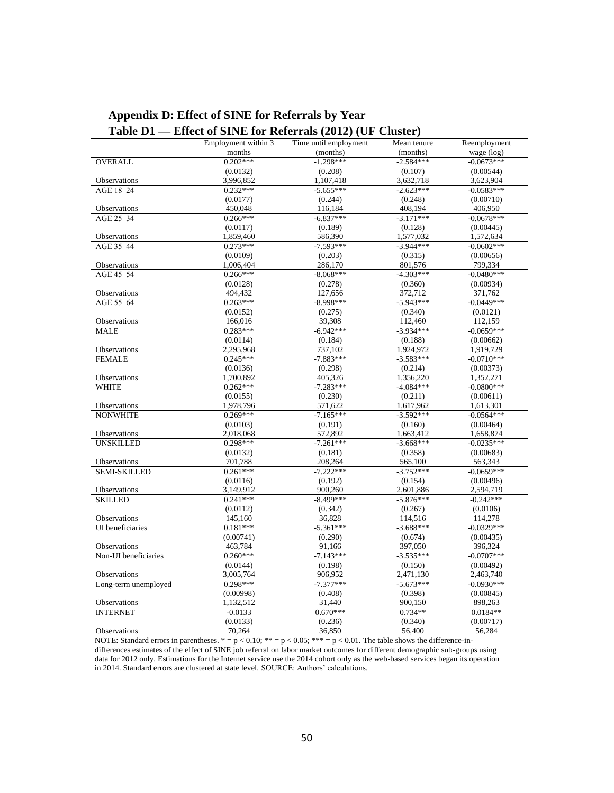|                      | Table D1 — Effect of SINE for Referrals (2012) (UF Cluster) |                       |             |              |
|----------------------|-------------------------------------------------------------|-----------------------|-------------|--------------|
|                      | Employment within 3                                         | Time until employment | Mean tenure | Reemployment |
|                      | months                                                      | (months)              | (months)    | wage (log)   |
| OVERALL              | $0.202***$                                                  | $-1.298***$           | $-2.584***$ | $-0.0673***$ |
|                      | (0.0132)                                                    | (0.208)               | (0.107)     | (0.00544)    |
| Observations         | 3,996,852                                                   | 1,107,418             | 3,632,718   | 3,623,904    |
| AGE 18-24            | $0.232***$                                                  | $-5.655***$           | $-2.623***$ | $-0.0583***$ |
|                      | (0.0177)                                                    | (0.244)               | (0.248)     | (0.00710)    |
| Observations         | 450,048                                                     | 116,184               | 408,194     | 406,950      |
| AGE 25-34            | $0.266***$                                                  | $-6.837***$           | $-3.171***$ | $-0.0678***$ |
|                      | (0.0117)                                                    | (0.189)               | (0.128)     | (0.00445)    |
| Observations         | 1,859,460                                                   | 586,390               | 1,577,032   | 1,572,634    |
| AGE 35-44            | $0.273***$                                                  | $-7.593***$           | $-3.944***$ | $-0.0602***$ |
|                      | (0.0109)                                                    | (0.203)               | (0.315)     | (0.00656)    |
| Observations         | 1,006,404                                                   | 286,170               | 801,576     | 799,334      |
| AGE 45-54            | $0.266***$                                                  | $-8.068***$           | $-4.303***$ | $-0.0480***$ |
|                      | (0.0128)                                                    | (0.278)               | (0.360)     | (0.00934)    |
| Observations         | 494,432                                                     | 127,656               | 372,712     | 371,762      |
| AGE 55-64            | $0.263***$                                                  | $-8.998***$           | $-5.943***$ | $-0.0449***$ |
|                      | (0.0152)                                                    | (0.275)               | (0.340)     | (0.0121)     |
| Observations         | 166,016                                                     | 39,308                | 112,460     | 112,159      |
| <b>MALE</b>          | $0.283***$                                                  | $-6.942***$           | $-3.934***$ | $-0.0659***$ |
|                      | (0.0114)                                                    | (0.184)               | (0.188)     | (0.00662)    |
| Observations         | 2,295,968                                                   | 737,102               | 1,924,972   | 1,919,729    |
| <b>FEMALE</b>        | $0.245***$                                                  | $-7.883***$           | $-3.583***$ | $-0.0710***$ |
|                      | (0.0136)                                                    | (0.298)               | (0.214)     | (0.00373)    |
| Observations         | 1,700,892                                                   | 405,326               | 1,356,220   | 1,352,271    |
| <b>WHITE</b>         | $0.262***$                                                  | $-7.283***$           | $-4.084***$ | $-0.0800***$ |
|                      | (0.0155)                                                    | (0.230)               | (0.211)     | (0.00611)    |
| Observations         | 1,978,796                                                   | 571,622               | 1,617,962   | 1,613,301    |
| <b>NONWHITE</b>      | $0.269***$                                                  | $-7.165***$           | $-3.592***$ | $-0.0564***$ |
|                      | (0.0103)                                                    | (0.191)               | (0.160)     | (0.00464)    |
| Observations         | 2,018,068                                                   | 572,892               | 1,663,412   | 1,658,874    |
| <b>UNSKILLED</b>     | $0.298***$                                                  | $-7.261***$           | $-3.668***$ | $-0.0235***$ |
|                      | (0.0132)                                                    | (0.181)               | (0.358)     | (0.00683)    |
| Observations         | 701,788                                                     | 208,264               | 565,100     | 563,343      |
| <b>SEMI-SKILLED</b>  | $0.261***$                                                  | $-7.222***$           | $-3.752***$ | $-0.0659***$ |
|                      | (0.0116)                                                    | (0.192)               | (0.154)     | (0.00496)    |
| Observations         | 3,149,912                                                   | 900,260               | 2,601,886   | 2,594,719    |
| <b>SKILLED</b>       | $0.241***$                                                  | $-8.499***$           | $-5.876***$ | $-0.242***$  |
|                      | (0.0112)                                                    | (0.342)               | (0.267)     | (0.0106)     |
| <b>Observations</b>  | 145,160                                                     | 36,828                | 114,516     | 114,278      |
| UI beneficiaries     | $0.181***$                                                  | $-5.361***$           | $-3.688***$ | $-0.0329***$ |
|                      | (0.00741)                                                   | (0.290)               | (0.674)     | (0.00435)    |
| Observations         | 463,784                                                     | 91,166                | 397,050     | 396,324      |
| Non-UI beneficiaries | $0.260***$                                                  | $-7.143***$           | $-3.535***$ | $-0.0707***$ |
|                      | (0.0144)                                                    | (0.198)               | (0.150)     | (0.00492)    |
| Observations         | 3,005,764                                                   | 906,952               | 2,471,130   | 2,463,740    |
| Long-term unemployed | $0.298***$                                                  | $-7.377***$           | $-5.673***$ | $-0.0930***$ |
|                      | (0.00998)                                                   | (0.408)               | (0.398)     | (0.00845)    |
| Observations         | 1,132,512                                                   | 31,440                | 900,150     | 898,263      |
| <b>INTERNET</b>      | $-0.0133$                                                   | $0.670***$            | $0.734**$   | $0.0184**$   |
|                      | (0.0133)                                                    | (0.236)               | (0.340)     | (0.00717)    |
| Observations         | 70,264                                                      | 36,850                | 56,400      | 56,284       |
|                      |                                                             |                       |             |              |

# **Appendix D: Effect of SINE for Referrals by Year**<br>Toble D1 Ffect of SINE for Peformals (2012) (U

NOTE: Standard errors in parentheses.  $* = p < 0.10$ ;  $** = p < 0.05$ ;  $*** = p < 0.01$ . The table shows the difference-indifferences estimates of the effect of SINE job referral on labor market outcomes for different demographic sub-groups using data for 2012 only. Estimations for the Internet service use the 2014 cohort only as the web-based services began its operation in 2014. Standard errors are clustered at state level. SOURCE: Authors' calculations.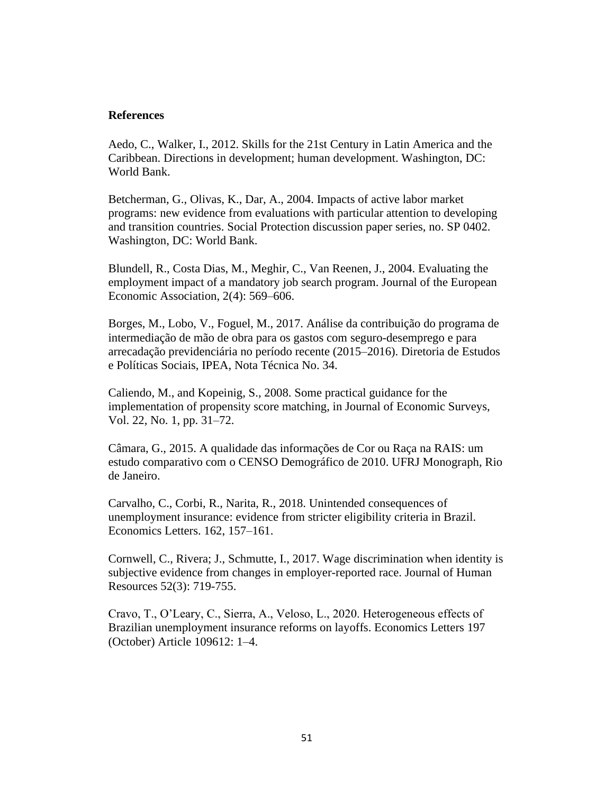### **References**

Aedo, C., Walker, I., 2012. Skills for the 21st Century in Latin America and the Caribbean. Directions in development; human development. Washington, DC: World Bank.

Betcherman, G., Olivas, K., Dar, A., 2004. Impacts of active labor market programs: new evidence from evaluations with particular attention to developing and transition countries. Social Protection discussion paper series, no. SP 0402. Washington, DC: World Bank.

Blundell, R., Costa Dias, M., Meghir, C., Van Reenen, J., 2004. Evaluating the employment impact of a mandatory job search program. Journal of the European Economic Association, 2(4): 569–606.

Borges, M., Lobo, V., Foguel, M., 2017. Análise da contribuição do programa de intermediação de mão de obra para os gastos com seguro-desemprego e para arrecadação previdenciária no período recente (2015–2016). Diretoria de Estudos e Políticas Sociais, IPEA, Nota Técnica No. 34.

Caliendo, M., and Kopeinig, S., 2008. Some practical guidance for the implementation of propensity score matching, in Journal of Economic Surveys, Vol. 22, No. 1, pp. 31–72.

Câmara, G., 2015. A qualidade das informações de Cor ou Raça na RAIS: um estudo comparativo com o CENSO Demográfico de 2010. UFRJ Monograph, Rio de Janeiro.

Carvalho, C., Corbi, R., Narita, R., 2018. Unintended consequences of unemployment insurance: evidence from stricter eligibility criteria in Brazil. Economics Letters. 162, 157–161.

Cornwell, C., Rivera; J., Schmutte, I., 2017. Wage discrimination when identity is subjective evidence from changes in employer-reported race. Journal of Human Resources 52(3): 719-755.

Cravo, T., O'Leary, C., Sierra, A., Veloso, L., 2020. Heterogeneous effects of Brazilian unemployment insurance reforms on layoffs. Economics Letters 197 (October) Article 109612: 1–4.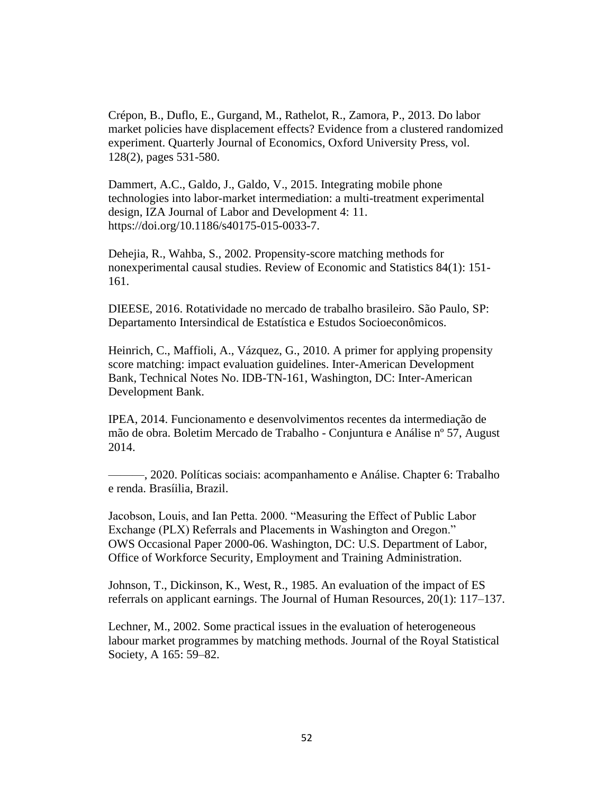Crépon, B., Duflo, E., Gurgand, M., Rathelot, R., Zamora, P., 2013. Do labor market policies have displacement effects? Evidence from a clustered randomized experiment. Quarterly Journal of Economics, Oxford University Press, vol. 128(2), pages 531-580.

Dammert, A.C., Galdo, J., Galdo, V., 2015. Integrating mobile phone technologies into labor-market intermediation: a multi-treatment experimental design, IZA Journal of Labor and Development 4: 11. https://doi.org/10.1186/s40175-015-0033-7.

Dehejia, R., Wahba, S., 2002. Propensity-score matching methods for nonexperimental causal studies. Review of Economic and Statistics 84(1): 151- 161.

DIEESE, 2016. Rotatividade no mercado de trabalho brasileiro. São Paulo, SP: Departamento Intersindical de Estatística e Estudos Socioeconômicos.

Heinrich, C., Maffioli, A., Vázquez, G., 2010. A primer for applying propensity score matching: impact evaluation guidelines. Inter-American Development Bank, Technical Notes No. IDB-TN-161, Washington, DC: Inter-American Development Bank.

IPEA, 2014. Funcionamento e desenvolvimentos recentes da intermediação de mão de obra. Boletim Mercado de Trabalho - Conjuntura e Análise nº 57, August 2014.

———, 2020. Políticas sociais: acompanhamento e Análise. Chapter 6: Trabalho e renda. Brasíilia, Brazil.

Jacobson, Louis, and Ian Petta. 2000. "Measuring the Effect of Public Labor Exchange (PLX) Referrals and Placements in Washington and Oregon." OWS Occasional Paper 2000-06. Washington, DC: U.S. Department of Labor, Office of Workforce Security, Employment and Training Administration.

Johnson, T., Dickinson, K., West, R., 1985. An evaluation of the impact of ES referrals on applicant earnings. The Journal of Human Resources, 20(1): 117–137.

Lechner, M., 2002. Some practical issues in the evaluation of heterogeneous labour market programmes by matching methods. Journal of the Royal Statistical Society, A 165: 59–82.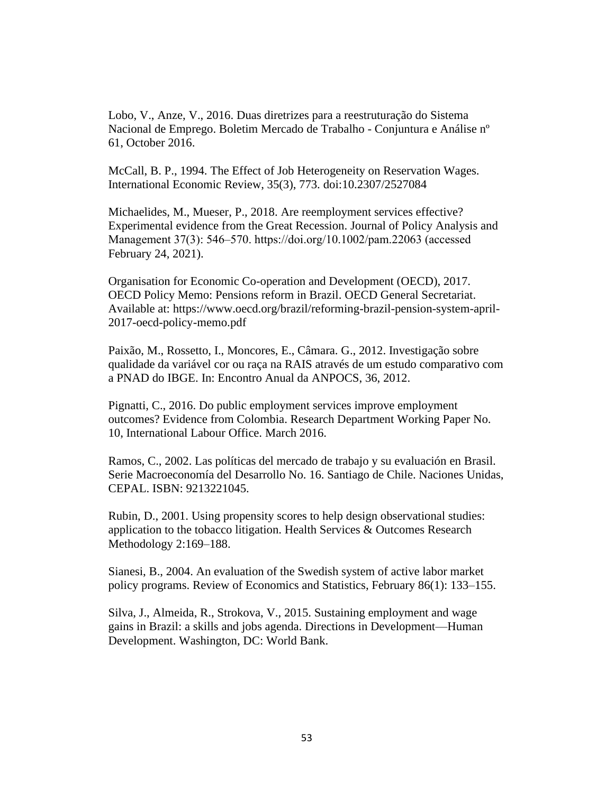Lobo, V., Anze, V., 2016. Duas diretrizes para a reestruturação do Sistema Nacional de Emprego. Boletim Mercado de Trabalho - Conjuntura e Análise nº 61, October 2016.

McCall, B. P., 1994. The Effect of Job Heterogeneity on Reservation Wages. International Economic Review, 35(3), 773. doi:10.2307/2527084

Michaelides, M., Mueser, P., 2018. Are reemployment services effective? Experimental evidence from the Great Recession. Journal of Policy Analysis and Management 37(3): 546‒570. https://doi.org/10.1002/pam.22063 (accessed February 24, 2021).

Organisation for Economic Co-operation and Development (OECD), 2017. OECD Policy Memo: Pensions reform in Brazil. OECD General Secretariat. Available at: https://www.oecd.org/brazil/reforming-brazil-pension-system-april-2017-oecd-policy-memo.pdf

Paixão, M., Rossetto, I., Moncores, E., Câmara. G., 2012. Investigação sobre qualidade da variável cor ou raça na RAIS através de um estudo comparativo com a PNAD do IBGE. In: Encontro Anual da ANPOCS, 36, 2012.

Pignatti, C., 2016. Do public employment services improve employment outcomes? Evidence from Colombia. Research Department Working Paper No. 10, International Labour Office. March 2016.

Ramos, C., 2002. Las políticas del mercado de trabajo y su evaluación en Brasil. Serie Macroeconomía del Desarrollo No. 16. Santiago de Chile. Naciones Unidas, CEPAL. ISBN: 9213221045.

Rubin, D., 2001. Using propensity scores to help design observational studies: application to the tobacco litigation. Health Services & Outcomes Research Methodology 2:169–188.

Sianesi, B., 2004. An evaluation of the Swedish system of active labor market policy programs. Review of Economics and Statistics, February 86(1): 133–155.

Silva, J., Almeida, R., Strokova, V., 2015. Sustaining employment and wage gains in Brazil: a skills and jobs agenda. Directions in Development—Human Development. Washington, DC: World Bank.